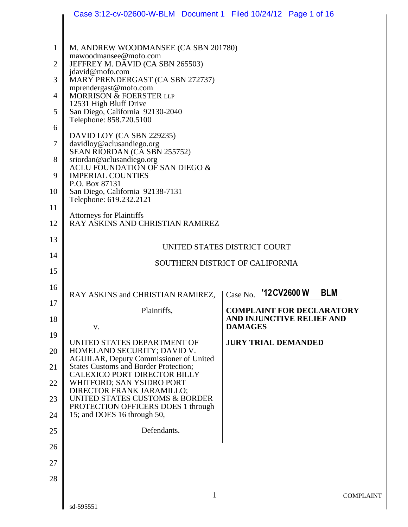|                | Case 3:12-cv-02600-W-BLM  Document 1  Filed 10/24/12  Page 1 of 16           |                                             |  |  |  |
|----------------|------------------------------------------------------------------------------|---------------------------------------------|--|--|--|
|                |                                                                              |                                             |  |  |  |
| $\mathbf{1}$   | M. ANDREW WOODMANSEE (CA SBN 201780)                                         |                                             |  |  |  |
| $\overline{2}$ | mawoodmansee@mofo.com<br>JEFFREY M. DAVID (CA SBN 265503)                    |                                             |  |  |  |
| 3              | jdavid@mofo.com<br>MARY PRENDERGAST (CA SBN 272737)                          |                                             |  |  |  |
| 4              | mprendergast@mofo.com<br><b>MORRISON &amp; FOERSTER LLP</b>                  |                                             |  |  |  |
| 5              | 12531 High Bluff Drive<br>San Diego, California 92130-2040                   |                                             |  |  |  |
| 6              | Telephone: 858.720.5100                                                      |                                             |  |  |  |
| 7              | DAVID LOY (CA SBN 229235)<br>davidloy@aclusandiego.org                       |                                             |  |  |  |
| 8              | SEAN RIORDAN (CA SBN 255752)<br>sriordan@aclusandiego.org                    |                                             |  |  |  |
| 9              | ACLU FOUNDATION OF SAN DIEGO &                                               |                                             |  |  |  |
| 10             | <b>IMPERIAL COUNTIES</b><br>P.O. Box 87131                                   |                                             |  |  |  |
|                | San Diego, California 92138-7131<br>Telephone: 619.232.2121                  |                                             |  |  |  |
| 11             | <b>Attorneys for Plaintiffs</b><br>RAY ASKINS AND CHRISTIAN RAMIREZ          |                                             |  |  |  |
| 12             |                                                                              |                                             |  |  |  |
| 13             | UNITED STATES DISTRICT COURT                                                 |                                             |  |  |  |
| 14             | SOUTHERN DISTRICT OF CALIFORNIA                                              |                                             |  |  |  |
| 15             |                                                                              |                                             |  |  |  |
| 16             | RAY ASKINS and CHRISTIAN RAMIREZ,                                            | Case No. '12CV2600 W<br><b>BLM</b>          |  |  |  |
| 17             | Plaintiffs,                                                                  | <b>COMPLAINT FOR DECLARATORY</b>            |  |  |  |
| 18             | V.                                                                           | AND INJUNCTIVE RELIEF AND<br><b>DAMAGES</b> |  |  |  |
| 19             | UNITED STATES DEPARTMENT OF                                                  | <b>JURY TRIAL DEMANDED</b>                  |  |  |  |
| 20             | HOMELAND SECURITY; DAVID V.<br><b>AGUILAR, Deputy Commissioner of United</b> |                                             |  |  |  |
| 21             | <b>States Customs and Border Protection;</b>                                 |                                             |  |  |  |
| 22             | CALEXICO PORT DIRECTOR BILLY<br>WHITFORD; SAN YSIDRO PORT                    |                                             |  |  |  |
| 23             | DIRECTOR FRANK JARAMILLO;<br>UNITED STATES CUSTOMS & BORDER                  |                                             |  |  |  |
| 24             | PROTECTION OFFICERS DOES 1 through<br>15; and DOES 16 through 50,            |                                             |  |  |  |
| 25             | Defendants.                                                                  |                                             |  |  |  |
| 26             |                                                                              |                                             |  |  |  |
| 27             |                                                                              |                                             |  |  |  |
| 28             |                                                                              |                                             |  |  |  |
|                |                                                                              |                                             |  |  |  |
|                | $\mathbf{1}$                                                                 | <b>COMPL</b>                                |  |  |  |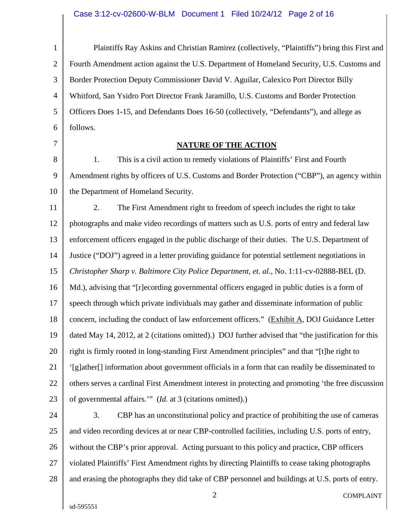# Case 3:12-cv-02600-W-BLM Document 1 Filed 10/24/12 Page 2 of 16

| $\mathbf{1}$   | Plaintiffs Ray Askins and Christian Ramirez (collectively, "Plaintiffs") bring this First and       |  |  |  |
|----------------|-----------------------------------------------------------------------------------------------------|--|--|--|
| $\overline{2}$ | Fourth Amendment action against the U.S. Department of Homeland Security, U.S. Customs and          |  |  |  |
| 3              | Border Protection Deputy Commissioner David V. Aguilar, Calexico Port Director Billy                |  |  |  |
| $\overline{4}$ | Whitford, San Ysidro Port Director Frank Jaramillo, U.S. Customs and Border Protection              |  |  |  |
| 5              | Officers Does 1-15, and Defendants Does 16-50 (collectively, "Defendants"), and allege as           |  |  |  |
| 6              | follows.                                                                                            |  |  |  |
| 7              | <b>NATURE OF THE ACTION</b>                                                                         |  |  |  |
| 8              | This is a civil action to remedy violations of Plaintiffs' First and Fourth<br>1.                   |  |  |  |
| 9              | Amendment rights by officers of U.S. Customs and Border Protection ("CBP"), an agency within        |  |  |  |
| 10             | the Department of Homeland Security.                                                                |  |  |  |
| 11             | 2.<br>The First Amendment right to freedom of speech includes the right to take                     |  |  |  |
| 12             | photographs and make video recordings of matters such as U.S. ports of entry and federal law        |  |  |  |
| 13             | enforcement officers engaged in the public discharge of their duties. The U.S. Department of        |  |  |  |
| 14             | Justice ("DOJ") agreed in a letter providing guidance for potential settlement negotiations in      |  |  |  |
| 15             | Christopher Sharp v. Baltimore City Police Department, et. al., No. 1:11-cv-02888-BEL (D.           |  |  |  |
| 16             | Md.), advising that "[r]ecording governmental officers engaged in public duties is a form of        |  |  |  |
| 17             | speech through which private individuals may gather and disseminate information of public           |  |  |  |
| 18             | concern, including the conduct of law enforcement officers." (Exhibit A, DOJ Guidance Letter        |  |  |  |
| 19             | dated May 14, 2012, at 2 (citations omitted).) DOJ further advised that "the justification for this |  |  |  |
| 20             | right is firmly rooted in long-standing First Amendment principles" and that "[t]he right to        |  |  |  |
| 21             | '[g]ather[] information about government officials in a form that can readily be disseminated to    |  |  |  |
| 22             | others serves a cardinal First Amendment interest in protecting and promoting 'the free discussion  |  |  |  |
| 23             | of governmental affairs." (Id. at 3 (citations omitted).)                                           |  |  |  |
| 24             | 3.<br>CBP has an unconstitutional policy and practice of prohibiting the use of cameras             |  |  |  |
| 25             | and video recording devices at or near CBP-controlled facilities, including U.S. ports of entry,    |  |  |  |
| 26             | without the CBP's prior approval. Acting pursuant to this policy and practice, CBP officers         |  |  |  |
| 27             | violated Plaintiffs' First Amendment rights by directing Plaintiffs to cease taking photographs     |  |  |  |
| 28             | and erasing the photographs they did take of CBP personnel and buildings at U.S. ports of entry.    |  |  |  |
|                | 2<br><b>COMPLAINT</b>                                                                               |  |  |  |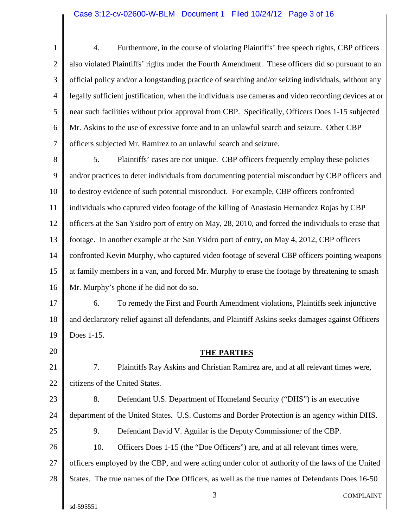1 2 3 4 5 6 7 4. Furthermore, in the course of violating Plaintiffs' free speech rights, CBP officers also violated Plaintiffs' rights under the Fourth Amendment. These officers did so pursuant to an official policy and/or a longstanding practice of searching and/or seizing individuals, without any legally sufficient justification, when the individuals use cameras and video recording devices at or near such facilities without prior approval from CBP. Specifically, Officers Does 1-15 subjected Mr. Askins to the use of excessive force and to an unlawful search and seizure. Other CBP officers subjected Mr. Ramirez to an unlawful search and seizure.

8 9 10 11 12 13 14 15 16 5. Plaintiffs' cases are not unique. CBP officers frequently employ these policies and/or practices to deter individuals from documenting potential misconduct by CBP officers and to destroy evidence of such potential misconduct. For example, CBP officers confronted individuals who captured video footage of the killing of Anastasio Hernandez Rojas by CBP officers at the San Ysidro port of entry on May, 28, 2010, and forced the individuals to erase that footage. In another example at the San Ysidro port of entry, on May 4, 2012, CBP officers confronted Kevin Murphy, who captured video footage of several CBP officers pointing weapons at family members in a van, and forced Mr. Murphy to erase the footage by threatening to smash Mr. Murphy's phone if he did not do so.

17 18 19 6. To remedy the First and Fourth Amendment violations, Plaintiffs seek injunctive and declaratory relief against all defendants, and Plaintiff Askins seeks damages against Officers Does 1-15.

20

21

## **THE PARTIES**

22 7. Plaintiffs Ray Askins and Christian Ramirez are, and at all relevant times were, citizens of the United States.

23 24 25 26 27 28 8. Defendant U.S. Department of Homeland Security ("DHS") is an executive department of the United States. U.S. Customs and Border Protection is an agency within DHS. 9. Defendant David V. Aguilar is the Deputy Commissioner of the CBP. 10. Officers Does 1-15 (the "Doe Officers") are, and at all relevant times were, officers employed by the CBP, and were acting under color of authority of the laws of the United States. The true names of the Doe Officers, as well as the true names of Defendants Does 16-50

3 COMPLAINT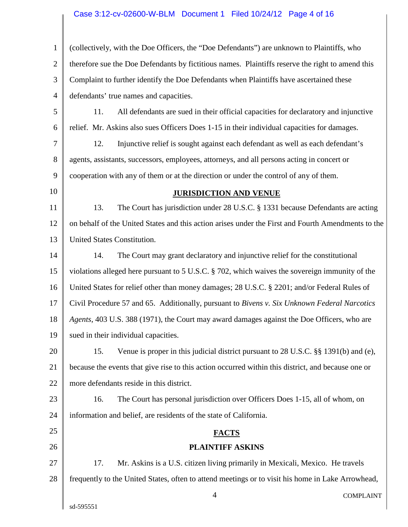# Case 3:12-cv-02600-W-BLM Document 1 Filed 10/24/12 Page 4 of 16

| 1              | (collectively, with the Doe Officers, the "Doe Defendants") are unknown to Plaintiffs, who         |  |  |
|----------------|----------------------------------------------------------------------------------------------------|--|--|
| $\overline{2}$ | therefore sue the Doe Defendants by fictitious names. Plaintiffs reserve the right to amend this   |  |  |
| 3              | Complaint to further identify the Doe Defendants when Plaintiffs have ascertained these            |  |  |
| $\overline{4}$ | defendants' true names and capacities.                                                             |  |  |
| 5              | 11.<br>All defendants are sued in their official capacities for declaratory and injunctive         |  |  |
| 6              | relief. Mr. Askins also sues Officers Does 1-15 in their individual capacities for damages.        |  |  |
| 7              | 12.<br>Injunctive relief is sought against each defendant as well as each defendant's              |  |  |
| 8              | agents, assistants, successors, employees, attorneys, and all persons acting in concert or         |  |  |
| 9              | cooperation with any of them or at the direction or under the control of any of them.              |  |  |
| 10             | <b>JURISDICTION AND VENUE</b>                                                                      |  |  |
| 11             | 13.<br>The Court has jurisdiction under 28 U.S.C. § 1331 because Defendants are acting             |  |  |
| 12             | on behalf of the United States and this action arises under the First and Fourth Amendments to the |  |  |
| 13             | United States Constitution.                                                                        |  |  |
| 14             | 14.<br>The Court may grant declaratory and injunctive relief for the constitutional                |  |  |
| 15             | violations alleged here pursuant to 5 U.S.C. § 702, which waives the sovereign immunity of the     |  |  |
| 16             | United States for relief other than money damages; 28 U.S.C. § 2201; and/or Federal Rules of       |  |  |
| 17             | Civil Procedure 57 and 65. Additionally, pursuant to Bivens v. Six Unknown Federal Narcotics       |  |  |
| 18             | Agents, 403 U.S. 388 (1971), the Court may award damages against the Doe Officers, who are         |  |  |
| 19             | sued in their individual capacities.                                                               |  |  |
| 20             | Venue is proper in this judicial district pursuant to 28 U.S.C. §§ 1391(b) and (e),<br>15.         |  |  |
| 21             | because the events that give rise to this action occurred within this district, and because one or |  |  |
| 22             | more defendants reside in this district.                                                           |  |  |
| 23             | The Court has personal jurisdiction over Officers Does 1-15, all of whom, on<br>16.                |  |  |
| 24             | information and belief, are residents of the state of California.                                  |  |  |
| 25             | <b>FACTS</b>                                                                                       |  |  |
| 26             | <b>PLAINTIFF ASKINS</b>                                                                            |  |  |
| 27             | Mr. Askins is a U.S. citizen living primarily in Mexicali, Mexico. He travels<br>17.               |  |  |
| 28             | frequently to the United States, often to attend meetings or to visit his home in Lake Arrowhead,  |  |  |
|                | $\overline{4}$<br><b>COMPLAINT</b>                                                                 |  |  |
|                | sd-595551                                                                                          |  |  |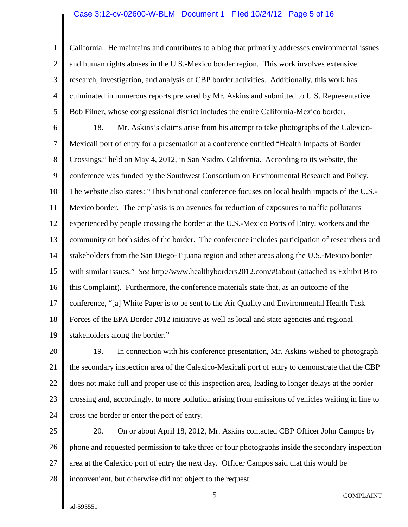### Case 3:12-cv-02600-W-BLM Document 1 Filed 10/24/12 Page 5 of 16

1 2 3 4 5 California. He maintains and contributes to a blog that primarily addresses environmental issues and human rights abuses in the U.S.-Mexico border region. This work involves extensive research, investigation, and analysis of CBP border activities. Additionally, this work has culminated in numerous reports prepared by Mr. Askins and submitted to U.S. Representative Bob Filner, whose congressional district includes the entire California-Mexico border.

6 7 8 9 10 11 12 13 14 15 16 17 18 19 18. Mr. Askins's claims arise from his attempt to take photographs of the Calexico-Mexicali port of entry for a presentation at a conference entitled "Health Impacts of Border Crossings," held on May 4, 2012, in San Ysidro, California. According to its website, the conference was funded by the Southwest Consortium on Environmental Research and Policy. The website also states: "This binational conference focuses on local health impacts of the U.S.- Mexico border. The emphasis is on avenues for reduction of exposures to traffic pollutants experienced by people crossing the border at the U.S.-Mexico Ports of Entry, workers and the community on both sides of the border. The conference includes participation of researchers and stakeholders from the San Diego-Tijuana region and other areas along the U.S.-Mexico border with similar issues." *See* http://www.healthyborders2012.com/#!about (attached as Exhibit B to this Complaint). Furthermore, the conference materials state that, as an outcome of the conference, "[a] White Paper is to be sent to the Air Quality and Environmental Health Task Forces of the EPA Border 2012 initiative as well as local and state agencies and regional stakeholders along the border."

20 21 22 23 24 19. In connection with his conference presentation, Mr. Askins wished to photograph the secondary inspection area of the Calexico-Mexicali port of entry to demonstrate that the CBP does not make full and proper use of this inspection area, leading to longer delays at the border crossing and, accordingly, to more pollution arising from emissions of vehicles waiting in line to cross the border or enter the port of entry.

25 26 27 28 20. On or about April 18, 2012, Mr. Askins contacted CBP Officer John Campos by phone and requested permission to take three or four photographs inside the secondary inspection area at the Calexico port of entry the next day. Officer Campos said that this would be inconvenient, but otherwise did not object to the request.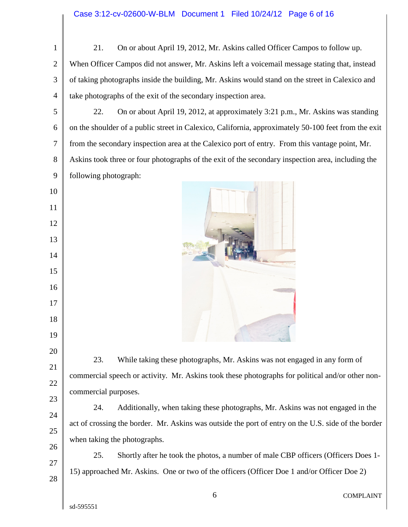| 21.<br>On or about April 19, 2012, Mr. Askins called Officer Campos to follow up.                   |  |  |
|-----------------------------------------------------------------------------------------------------|--|--|
| When Officer Campos did not answer, Mr. Askins left a voicemail message stating that, instead       |  |  |
| of taking photographs inside the building, Mr. Askins would stand on the street in Calexico and     |  |  |
| take photographs of the exit of the secondary inspection area.                                      |  |  |
| 22.<br>On or about April 19, 2012, at approximately 3:21 p.m., Mr. Askins was standing              |  |  |
| on the shoulder of a public street in Calexico, California, approximately 50-100 feet from the exit |  |  |
| from the secondary inspection area at the Calexico port of entry. From this vantage point, Mr.      |  |  |
| Askins took three or four photographs of the exit of the secondary inspection area, including the   |  |  |
| following photograph:                                                                               |  |  |
|                                                                                                     |  |  |
|                                                                                                     |  |  |
|                                                                                                     |  |  |
|                                                                                                     |  |  |
|                                                                                                     |  |  |
|                                                                                                     |  |  |
|                                                                                                     |  |  |
|                                                                                                     |  |  |
|                                                                                                     |  |  |
|                                                                                                     |  |  |
| 23.<br>While taking these photographs, Mr. Askins was not engaged in any form of                    |  |  |
| commercial speech or activity. Mr. Askins took these photographs for political and/or other non-    |  |  |
| commercial purposes.                                                                                |  |  |
| 24.<br>Additionally, when taking these photographs, Mr. Askins was not engaged in the               |  |  |
| act of crossing the border. Mr. Askins was outside the port of entry on the U.S. side of the border |  |  |
| when taking the photographs.                                                                        |  |  |
| 25.<br>Shortly after he took the photos, a number of male CBP officers (Officers Does 1-            |  |  |
| 15) approached Mr. Askins. One or two of the officers (Officer Doe 1 and/or Officer Doe 2)          |  |  |
|                                                                                                     |  |  |
| 6<br><b>COMPLAINT</b>                                                                               |  |  |
|                                                                                                     |  |  |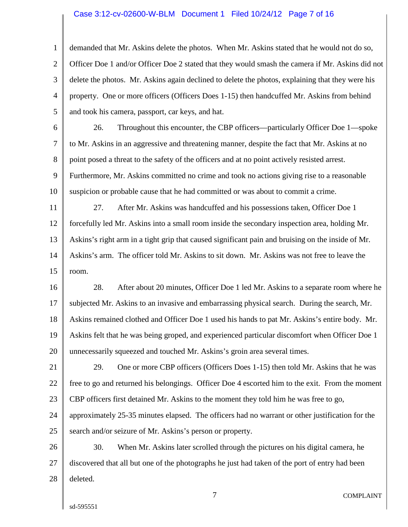### Case 3:12-cv-02600-W-BLM Document 1 Filed 10/24/12 Page 7 of 16

1 2 3 4 5 demanded that Mr. Askins delete the photos. When Mr. Askins stated that he would not do so, Officer Doe 1 and/or Officer Doe 2 stated that they would smash the camera if Mr. Askins did not delete the photos. Mr. Askins again declined to delete the photos, explaining that they were his property. One or more officers (Officers Does 1-15) then handcuffed Mr. Askins from behind and took his camera, passport, car keys, and hat.

6 7 8 9 10 26. Throughout this encounter, the CBP officers—particularly Officer Doe 1—spoke to Mr. Askins in an aggressive and threatening manner, despite the fact that Mr. Askins at no point posed a threat to the safety of the officers and at no point actively resisted arrest. Furthermore, Mr. Askins committed no crime and took no actions giving rise to a reasonable suspicion or probable cause that he had committed or was about to commit a crime.

11 12 13 14 15 27. After Mr. Askins was handcuffed and his possessions taken, Officer Doe 1 forcefully led Mr. Askins into a small room inside the secondary inspection area, holding Mr. Askins's right arm in a tight grip that caused significant pain and bruising on the inside of Mr. Askins's arm. The officer told Mr. Askins to sit down. Mr. Askins was not free to leave the room.

16 17 18 19 20 28. After about 20 minutes, Officer Doe 1 led Mr. Askins to a separate room where he subjected Mr. Askins to an invasive and embarrassing physical search. During the search, Mr. Askins remained clothed and Officer Doe 1 used his hands to pat Mr. Askins's entire body. Mr. Askins felt that he was being groped, and experienced particular discomfort when Officer Doe 1 unnecessarily squeezed and touched Mr. Askins's groin area several times.

21 22 23 24 25 29. One or more CBP officers (Officers Does 1-15) then told Mr. Askins that he was free to go and returned his belongings. Officer Doe 4 escorted him to the exit. From the moment CBP officers first detained Mr. Askins to the moment they told him he was free to go, approximately 25-35 minutes elapsed. The officers had no warrant or other justification for the search and/or seizure of Mr. Askins's person or property.

26 27 28 30. When Mr. Askins later scrolled through the pictures on his digital camera, he discovered that all but one of the photographs he just had taken of the port of entry had been deleted.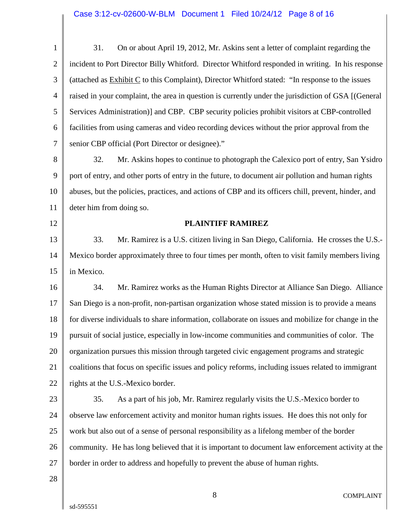| $\mathbf{1}$   | On or about April 19, 2012, Mr. Askins sent a letter of complaint regarding the<br>31.               |
|----------------|------------------------------------------------------------------------------------------------------|
| $\overline{2}$ | incident to Port Director Billy Whitford. Director Whitford responded in writing. In his response    |
| 3              | (attached as Exhibit C to this Complaint), Director Whitford stated: "In response to the issues      |
| $\overline{4}$ | raised in your complaint, the area in question is currently under the jurisdiction of GSA [(General  |
| 5              | Services Administration)] and CBP. CBP security policies prohibit visitors at CBP-controlled         |
| 6              | facilities from using cameras and video recording devices without the prior approval from the        |
| $\tau$         | senior CBP official (Port Director or designee)."                                                    |
| $8\,$          | Mr. Askins hopes to continue to photograph the Calexico port of entry, San Ysidro<br>32.             |
| 9              | port of entry, and other ports of entry in the future, to document air pollution and human rights    |
| 10             | abuses, but the policies, practices, and actions of CBP and its officers chill, prevent, hinder, and |
| 11             | deter him from doing so.                                                                             |
| 12             | <b>PLAINTIFF RAMIREZ</b>                                                                             |
| 13             | Mr. Ramirez is a U.S. citizen living in San Diego, California. He crosses the U.S.-<br>33.           |
| 14             | Mexico border approximately three to four times per month, often to visit family members living      |
| 15             | in Mexico.                                                                                           |
| 16             | Mr. Ramirez works as the Human Rights Director at Alliance San Diego. Alliance<br>34.                |
| 17             | San Diego is a non-profit, non-partisan organization whose stated mission is to provide a means      |
| 18             | for diverse individuals to share information, collaborate on issues and mobilize for change in the   |
| 19             | pursuit of social justice, especially in low-income communities and communities of color. The        |
| 20             | organization pursues this mission through targeted civic engagement programs and strategic           |
| 21             | coalitions that focus on specific issues and policy reforms, including issues related to immigrant   |
| 22             | rights at the U.S.-Mexico border.                                                                    |
| 23             | As a part of his job, Mr. Ramirez regularly visits the U.S.-Mexico border to<br>35.                  |
| 24             | observe law enforcement activity and monitor human rights issues. He does this not only for          |
| 25             | work but also out of a sense of personal responsibility as a lifelong member of the border           |
| 26             | community. He has long believed that it is important to document law enforcement activity at the     |
| 27             | border in order to address and hopefully to prevent the abuse of human rights.                       |
| 28             |                                                                                                      |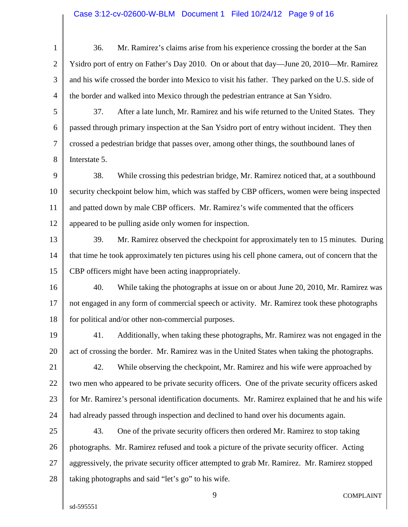# Case 3:12-cv-02600-W-BLM Document 1 Filed 10/24/12 Page 9 of 16

| $\mathbf{1}$   | Mr. Ramirez's claims arise from his experience crossing the border at the San<br>36.              |  |  |
|----------------|---------------------------------------------------------------------------------------------------|--|--|
| $\overline{2}$ | Ysidro port of entry on Father's Day 2010. On or about that day—June 20, 2010—Mr. Ramirez         |  |  |
| 3              | and his wife crossed the border into Mexico to visit his father. They parked on the U.S. side of  |  |  |
| $\overline{4}$ | the border and walked into Mexico through the pedestrian entrance at San Ysidro.                  |  |  |
| 5              | After a late lunch, Mr. Ramirez and his wife returned to the United States. They<br>37.           |  |  |
| 6              | passed through primary inspection at the San Ysidro port of entry without incident. They then     |  |  |
| 7              | crossed a pedestrian bridge that passes over, among other things, the southbound lanes of         |  |  |
| 8              | Interstate 5.                                                                                     |  |  |
| 9              | While crossing this pedestrian bridge, Mr. Ramirez noticed that, at a southbound<br>38.           |  |  |
| 10             | security checkpoint below him, which was staffed by CBP officers, women were being inspected      |  |  |
| 11             | and patted down by male CBP officers. Mr. Ramirez's wife commented that the officers              |  |  |
| 12             | appeared to be pulling aside only women for inspection.                                           |  |  |
| 13             | Mr. Ramirez observed the checkpoint for approximately ten to 15 minutes. During<br>39.            |  |  |
| 14             | that time he took approximately ten pictures using his cell phone camera, out of concern that the |  |  |
| 15             | CBP officers might have been acting inappropriately.                                              |  |  |
| 16             | 40.<br>While taking the photographs at issue on or about June 20, 2010, Mr. Ramirez was           |  |  |
| 17             | not engaged in any form of commercial speech or activity. Mr. Ramirez took these photographs      |  |  |
| 18             | for political and/or other non-commercial purposes.                                               |  |  |
| 19             | Additionally, when taking these photographs, Mr. Ramirez was not engaged in the<br>41.            |  |  |
| 20             | act of crossing the border. Mr. Ramirez was in the United States when taking the photographs.     |  |  |
| 21             | While observing the checkpoint, Mr. Ramirez and his wife were approached by<br>42.                |  |  |
| 22             | two men who appeared to be private security officers. One of the private security officers asked  |  |  |
| 23             | for Mr. Ramirez's personal identification documents. Mr. Ramirez explained that he and his wife   |  |  |
| 24             | had already passed through inspection and declined to hand over his documents again.              |  |  |
| 25             | One of the private security officers then ordered Mr. Ramirez to stop taking<br>43.               |  |  |
| 26             | photographs. Mr. Ramirez refused and took a picture of the private security officer. Acting       |  |  |
| 27             | aggressively, the private security officer attempted to grab Mr. Ramirez. Mr. Ramirez stopped     |  |  |
| 28             | taking photographs and said "let's go" to his wife.                                               |  |  |
|                | 9<br><b>COMPLAINT</b>                                                                             |  |  |

 $\parallel$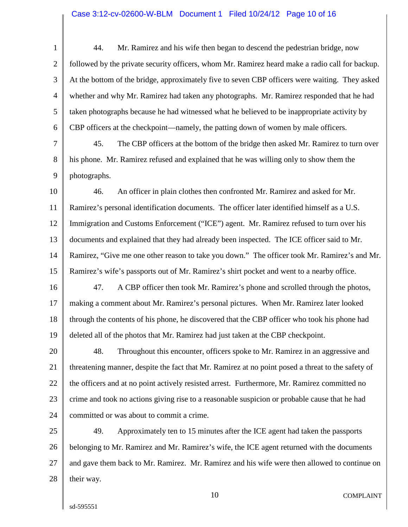1 2 3 4 5 6 44. Mr. Ramirez and his wife then began to descend the pedestrian bridge, now followed by the private security officers, whom Mr. Ramirez heard make a radio call for backup. At the bottom of the bridge, approximately five to seven CBP officers were waiting. They asked whether and why Mr. Ramirez had taken any photographs. Mr. Ramirez responded that he had taken photographs because he had witnessed what he believed to be inappropriate activity by CBP officers at the checkpoint—namely, the patting down of women by male officers.

7 8 9 45. The CBP officers at the bottom of the bridge then asked Mr. Ramirez to turn over his phone. Mr. Ramirez refused and explained that he was willing only to show them the photographs.

10 11 12 13 14 15 46. An officer in plain clothes then confronted Mr. Ramirez and asked for Mr. Ramirez's personal identification documents. The officer later identified himself as a U.S. Immigration and Customs Enforcement ("ICE") agent. Mr. Ramirez refused to turn over his documents and explained that they had already been inspected. The ICE officer said to Mr. Ramirez, "Give me one other reason to take you down." The officer took Mr. Ramirez's and Mr. Ramirez's wife's passports out of Mr. Ramirez's shirt pocket and went to a nearby office.

16 17 18 19 47. A CBP officer then took Mr. Ramirez's phone and scrolled through the photos, making a comment about Mr. Ramirez's personal pictures. When Mr. Ramirez later looked through the contents of his phone, he discovered that the CBP officer who took his phone had deleted all of the photos that Mr. Ramirez had just taken at the CBP checkpoint.

20 21 22 23 24 48. Throughout this encounter, officers spoke to Mr. Ramirez in an aggressive and threatening manner, despite the fact that Mr. Ramirez at no point posed a threat to the safety of the officers and at no point actively resisted arrest. Furthermore, Mr. Ramirez committed no crime and took no actions giving rise to a reasonable suspicion or probable cause that he had committed or was about to commit a crime.

25 26 27 28 49. Approximately ten to 15 minutes after the ICE agent had taken the passports belonging to Mr. Ramirez and Mr. Ramirez's wife, the ICE agent returned with the documents and gave them back to Mr. Ramirez. Mr. Ramirez and his wife were then allowed to continue on their way.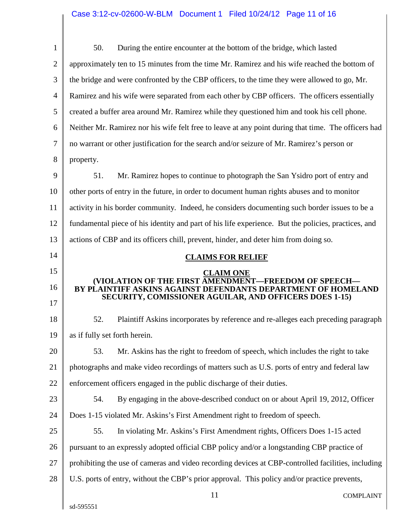| $\mathbf{1}$   | 50.<br>During the entire encounter at the bottom of the bridge, which lasted                                            |  |  |
|----------------|-------------------------------------------------------------------------------------------------------------------------|--|--|
| $\overline{2}$ | approximately ten to 15 minutes from the time Mr. Ramirez and his wife reached the bottom of                            |  |  |
| 3              | the bridge and were confronted by the CBP officers, to the time they were allowed to go, Mr.                            |  |  |
| $\overline{4}$ | Ramirez and his wife were separated from each other by CBP officers. The officers essentially                           |  |  |
| 5              | created a buffer area around Mr. Ramirez while they questioned him and took his cell phone.                             |  |  |
| 6              | Neither Mr. Ramirez nor his wife felt free to leave at any point during that time. The officers had                     |  |  |
| 7              | no warrant or other justification for the search and/or seizure of Mr. Ramirez's person or                              |  |  |
| 8              | property.                                                                                                               |  |  |
| 9              | 51.<br>Mr. Ramirez hopes to continue to photograph the San Ysidro port of entry and                                     |  |  |
| 10             | other ports of entry in the future, in order to document human rights abuses and to monitor                             |  |  |
| 11             | activity in his border community. Indeed, he considers documenting such border issues to be a                           |  |  |
| 12             | fundamental piece of his identity and part of his life experience. But the policies, practices, and                     |  |  |
| 13             | actions of CBP and its officers chill, prevent, hinder, and deter him from doing so.                                    |  |  |
| 14             | <b>CLAIMS FOR RELIEF</b>                                                                                                |  |  |
| 15             | <b>CLAIM ONE</b><br>(VIOLATION OF THE FIRST AMENDMENT—FREEDOM OF SPEECH-                                                |  |  |
| 16             | BY PLAINTIFF ASKINS AGAINST DEFENDANTS DEPARTMENT OF HOMELAND<br>SECURITY, COMISSIONER AGUILAR, AND OFFICERS DOES 1-15) |  |  |
| 17             |                                                                                                                         |  |  |
| 18             | 52.<br>Plaintiff Askins incorporates by reference and re-alleges each preceding paragraph                               |  |  |
| 19             | as if fully set forth herein.                                                                                           |  |  |
| 20             | Mr. Askins has the right to freedom of speech, which includes the right to take<br>53.                                  |  |  |
| 21             | photographs and make video recordings of matters such as U.S. ports of entry and federal law                            |  |  |
| 22             | enforcement officers engaged in the public discharge of their duties.                                                   |  |  |
| 23             | 54.<br>By engaging in the above-described conduct on or about April 19, 2012, Officer                                   |  |  |
| 24             | Does 1-15 violated Mr. Askins's First Amendment right to freedom of speech.                                             |  |  |
| 25             | In violating Mr. Askins's First Amendment rights, Officers Does 1-15 acted<br>55.                                       |  |  |
| 26             | pursuant to an expressly adopted official CBP policy and/or a longstanding CBP practice of                              |  |  |
| 27             | prohibiting the use of cameras and video recording devices at CBP-controlled facilities, including                      |  |  |
| 28             | U.S. ports of entry, without the CBP's prior approval. This policy and/or practice prevents,                            |  |  |
|                | 11<br><b>COMPLAINT</b>                                                                                                  |  |  |
|                | sd-595551                                                                                                               |  |  |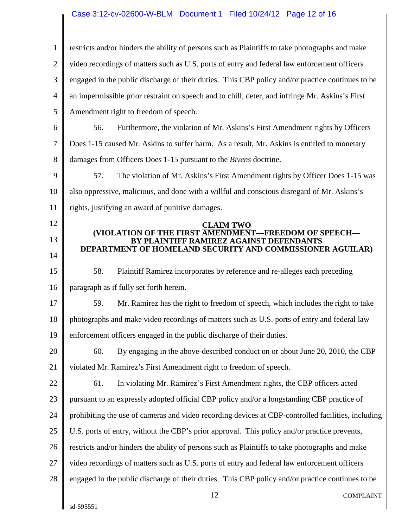# Case 3:12-cv-02600-W-BLM Document 1 Filed 10/24/12 Page 12 of 16

| $\mathbf{1}$   | restricts and/or hinders the ability of persons such as Plaintiffs to take photographs and make                                                              |  |  |
|----------------|--------------------------------------------------------------------------------------------------------------------------------------------------------------|--|--|
| $\overline{2}$ | video recordings of matters such as U.S. ports of entry and federal law enforcement officers                                                                 |  |  |
| 3              | engaged in the public discharge of their duties. This CBP policy and/or practice continues to be                                                             |  |  |
| $\overline{4}$ | an impermissible prior restraint on speech and to chill, deter, and infringe Mr. Askins's First                                                              |  |  |
| 5              | Amendment right to freedom of speech.                                                                                                                        |  |  |
| 6              | Furthermore, the violation of Mr. Askins's First Amendment rights by Officers<br>56.                                                                         |  |  |
| 7              | Does 1-15 caused Mr. Askins to suffer harm. As a result, Mr. Askins is entitled to monetary                                                                  |  |  |
| 8              | damages from Officers Does 1-15 pursuant to the <i>Bivens</i> doctrine.                                                                                      |  |  |
| 9              | 57.<br>The violation of Mr. Askins's First Amendment rights by Officer Does 1-15 was                                                                         |  |  |
| 10             | also oppressive, malicious, and done with a willful and conscious disregard of Mr. Askins's                                                                  |  |  |
| 11             | rights, justifying an award of punitive damages.                                                                                                             |  |  |
| 12             | <b>CLAIM TWO</b>                                                                                                                                             |  |  |
| 13<br>14       | (VIOLATION OF THE FIRST AMENDMENT-FREEDOM OF SPEECH-<br>BY PLAINTIFF RAMIREZ AGAINST DEFENDANTS<br>DEPARTMENT OF HOMELAND SECURITY AND COMMISSIONER AGUILAR) |  |  |
| 15             | 58.<br>Plaintiff Ramirez incorporates by reference and re-alleges each preceding                                                                             |  |  |
| 16             | paragraph as if fully set forth herein.                                                                                                                      |  |  |
| 17             | Mr. Ramirez has the right to freedom of speech, which includes the right to take<br>59.                                                                      |  |  |
| 18             | photographs and make video recordings of matters such as U.S. ports of entry and federal law                                                                 |  |  |
| 19             | enforcement officers engaged in the public discharge of their duties.                                                                                        |  |  |
| 20             | 60.<br>By engaging in the above-described conduct on or about June 20, 2010, the CBP                                                                         |  |  |
| 21             | violated Mr. Ramirez's First Amendment right to freedom of speech.                                                                                           |  |  |
| 22             | 61.<br>In violating Mr. Ramirez's First Amendment rights, the CBP officers acted                                                                             |  |  |
| 23             | pursuant to an expressly adopted official CBP policy and/or a longstanding CBP practice of                                                                   |  |  |
| 24             | prohibiting the use of cameras and video recording devices at CBP-controlled facilities, including                                                           |  |  |
| 25             | U.S. ports of entry, without the CBP's prior approval. This policy and/or practice prevents,                                                                 |  |  |
| 26             | restricts and/or hinders the ability of persons such as Plaintiffs to take photographs and make                                                              |  |  |
| 27             | video recordings of matters such as U.S. ports of entry and federal law enforcement officers                                                                 |  |  |
| 28             | engaged in the public discharge of their duties. This CBP policy and/or practice continues to be                                                             |  |  |
|                | 12<br><b>COMPLAINT</b>                                                                                                                                       |  |  |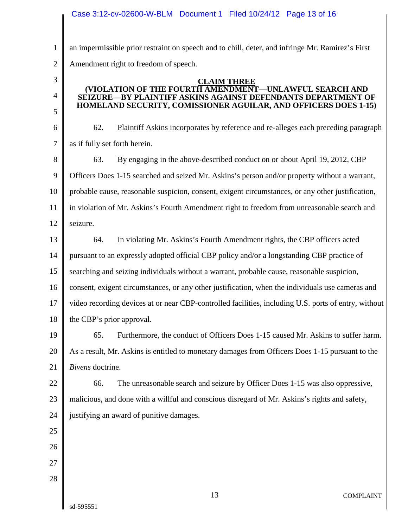|                | Case 3:12-cv-02600-W-BLM  Document 1  Filed 10/24/12  Page 13 of 16                                                    |  |  |
|----------------|------------------------------------------------------------------------------------------------------------------------|--|--|
| $\mathbf{1}$   | an impermissible prior restraint on speech and to chill, deter, and infringe Mr. Ramirez's First                       |  |  |
| $\overline{2}$ | Amendment right to freedom of speech.                                                                                  |  |  |
| 3              | <b>CLAIM THREE</b>                                                                                                     |  |  |
| $\overline{4}$ | (VIOLATION OF THE FOURTH AMENDMENT-UNLAWFUL SEARCH AND<br>SEIZURE—BY PLAINTIFF ASKINS AGAINST DEFENDANTS DEPARTMENT OF |  |  |
| 5              | HOMELAND SECURITY, COMISSIONER AGUILAR, AND OFFICERS DOES 1-15)                                                        |  |  |
| 6              | 62.<br>Plaintiff Askins incorporates by reference and re-alleges each preceding paragraph                              |  |  |
| 7              | as if fully set forth herein.                                                                                          |  |  |
| 8              | 63.<br>By engaging in the above-described conduct on or about April 19, 2012, CBP                                      |  |  |
| 9              | Officers Does 1-15 searched and seized Mr. Askins's person and/or property without a warrant,                          |  |  |
| 10             | probable cause, reasonable suspicion, consent, exigent circumstances, or any other justification,                      |  |  |
| 11             | in violation of Mr. Askins's Fourth Amendment right to freedom from unreasonable search and                            |  |  |
| 12             | seizure.                                                                                                               |  |  |
| 13             | In violating Mr. Askins's Fourth Amendment rights, the CBP officers acted<br>64.                                       |  |  |
| 14             | pursuant to an expressly adopted official CBP policy and/or a longstanding CBP practice of                             |  |  |
| 15             | searching and seizing individuals without a warrant, probable cause, reasonable suspicion,                             |  |  |
| 16             | consent, exigent circumstances, or any other justification, when the individuals use cameras and                       |  |  |
| 17             | video recording devices at or near CBP-controlled facilities, including U.S. ports of entry, without                   |  |  |
| 18             | the CBP's prior approval.                                                                                              |  |  |
| 19             | Furthermore, the conduct of Officers Does 1-15 caused Mr. Askins to suffer harm.<br>65.                                |  |  |
| 20             | As a result, Mr. Askins is entitled to monetary damages from Officers Does 1-15 pursuant to the                        |  |  |
| 21             | Bivens doctrine.                                                                                                       |  |  |
| 22             | The unreasonable search and seizure by Officer Does 1-15 was also oppressive,<br>66.                                   |  |  |
| 23             | malicious, and done with a willful and conscious disregard of Mr. Askins's rights and safety,                          |  |  |
| 24             | justifying an award of punitive damages.                                                                               |  |  |
| 25             |                                                                                                                        |  |  |
| 26             |                                                                                                                        |  |  |
| 27             |                                                                                                                        |  |  |
| 28             |                                                                                                                        |  |  |
|                | 13<br><b>COMPLAINT</b>                                                                                                 |  |  |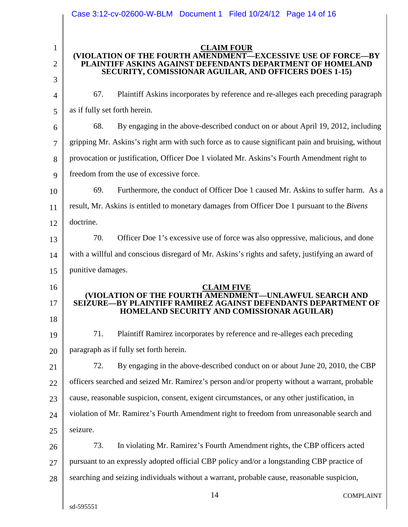|                | Case 3:12-cv-02600-W-BLM  Document 1  Filed 10/24/12  Page 14 of 16                                                        |  |  |
|----------------|----------------------------------------------------------------------------------------------------------------------------|--|--|
| $\mathbf{1}$   | <b>CLAIM FOUR</b>                                                                                                          |  |  |
| $\overline{2}$ | (VIOLATION OF THE FOURTH AMENDMENT-EXCESSIVE USE OF FORCE-BY<br>PLAINTIFF ASKINS AGAINST DEFENDANTS DEPARTMENT OF HOMELAND |  |  |
| 3              | SECURITY, COMISSIONAR AGUILAR, AND OFFICERS DOES 1-15)                                                                     |  |  |
| $\overline{4}$ | Plaintiff Askins incorporates by reference and re-alleges each preceding paragraph<br>67.                                  |  |  |
| 5              | as if fully set forth herein.                                                                                              |  |  |
| 6              | 68.<br>By engaging in the above-described conduct on or about April 19, 2012, including                                    |  |  |
| 7              | gripping Mr. Askins's right arm with such force as to cause significant pain and bruising, without                         |  |  |
| 8              | provocation or justification, Officer Doe 1 violated Mr. Askins's Fourth Amendment right to                                |  |  |
| 9              | freedom from the use of excessive force.                                                                                   |  |  |
| 10             | 69.<br>Furthermore, the conduct of Officer Doe 1 caused Mr. Askins to suffer harm. As a                                    |  |  |
| 11             | result, Mr. Askins is entitled to monetary damages from Officer Doe 1 pursuant to the Bivens                               |  |  |
| 12             | doctrine.                                                                                                                  |  |  |
| 13             | 70.<br>Officer Doe 1's excessive use of force was also oppressive, malicious, and done                                     |  |  |
| 14             | with a willful and conscious disregard of Mr. Askins's rights and safety, justifying an award of                           |  |  |
| 15             | punitive damages.                                                                                                          |  |  |
| 16             | <b>CLAIM FIVE</b>                                                                                                          |  |  |
| 17             | (VIOLATION OF THE FOURTH AMENDMENT—UNLAWFUL SEARCH AND<br>SEIZURE—BY PLAINTIFF RAMIREZ AGAINST DEFENDANTS DEPARTMENT OF    |  |  |
| 18             | HOMELAND SECURITY AND COMISSIONAR AGUILAR)                                                                                 |  |  |
| 19             | 71.<br>Plaintiff Ramirez incorporates by reference and re-alleges each preceding                                           |  |  |
| 20             | paragraph as if fully set forth herein.                                                                                    |  |  |
| 21             | By engaging in the above-described conduct on or about June 20, 2010, the CBP<br>72.                                       |  |  |
| 22             | officers searched and seized Mr. Ramirez's person and/or property without a warrant, probable                              |  |  |
| 23             | cause, reasonable suspicion, consent, exigent circumstances, or any other justification, in                                |  |  |
| 24             | violation of Mr. Ramirez's Fourth Amendment right to freedom from unreasonable search and                                  |  |  |
| 25             | seizure.                                                                                                                   |  |  |
| 26             | In violating Mr. Ramirez's Fourth Amendment rights, the CBP officers acted<br>73.                                          |  |  |
| 27             | pursuant to an expressly adopted official CBP policy and/or a longstanding CBP practice of                                 |  |  |
| 28             | searching and seizing individuals without a warrant, probable cause, reasonable suspicion,                                 |  |  |
|                | 14<br><b>COMPLAINT</b>                                                                                                     |  |  |
|                | sd-595551                                                                                                                  |  |  |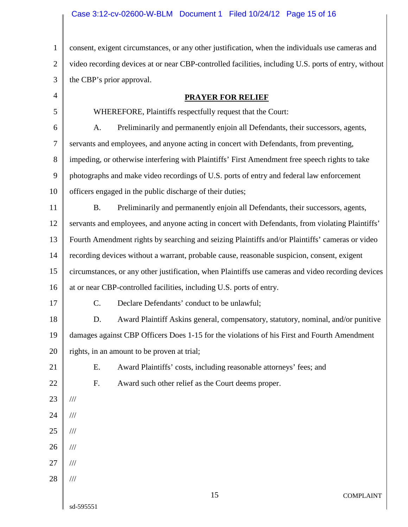## Case 3:12-cv-02600-W-BLM Document 1 Filed 10/24/12 Page 15 of 16

1 2 3 consent, exigent circumstances, or any other justification, when the individuals use cameras and video recording devices at or near CBP-controlled facilities, including U.S. ports of entry, without the CBP's prior approval.

| <b>PRAYER FOR RELIEF</b> |
|--------------------------|
|--------------------------|

5 6 7 8 9 10 11 12 13 14 15 16 17 18 19 20 21 22 23 24 25 26 27 28 15 COMPLAINT WHEREFORE, Plaintiffs respectfully request that the Court: A. Preliminarily and permanently enjoin all Defendants, their successors, agents, servants and employees, and anyone acting in concert with Defendants, from preventing, impeding, or otherwise interfering with Plaintiffs' First Amendment free speech rights to take photographs and make video recordings of U.S. ports of entry and federal law enforcement officers engaged in the public discharge of their duties; B. Preliminarily and permanently enjoin all Defendants, their successors, agents, servants and employees, and anyone acting in concert with Defendants, from violating Plaintiffs' Fourth Amendment rights by searching and seizing Plaintiffs and/or Plaintiffs' cameras or video recording devices without a warrant, probable cause, reasonable suspicion, consent, exigent circumstances, or any other justification, when Plaintiffs use cameras and video recording devices at or near CBP-controlled facilities, including U.S. ports of entry. C. Declare Defendants' conduct to be unlawful; D. Award Plaintiff Askins general, compensatory, statutory, nominal, and/or punitive damages against CBP Officers Does 1-15 for the violations of his First and Fourth Amendment rights, in an amount to be proven at trial; E. Award Plaintiffs' costs, including reasonable attorneys' fees; and F. Award such other relief as the Court deems proper. /// /// /// /// /// ///

sd-595551

4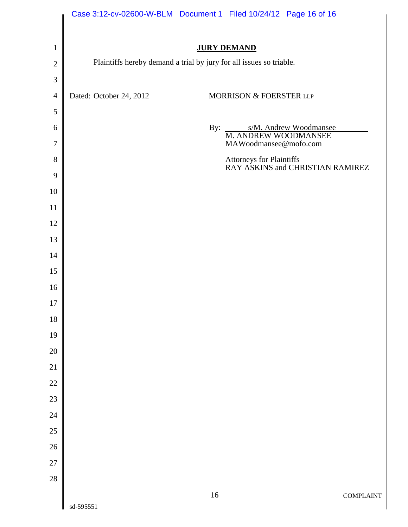|                  |                         | Case 3:12-cv-02600-W-BLM Document 1 Filed 10/24/12 Page 16 of 16    |
|------------------|-------------------------|---------------------------------------------------------------------|
| $\mathbf{1}$     |                         | <b>JURY DEMAND</b>                                                  |
| $\mathbf{2}$     |                         | Plaintiffs hereby demand a trial by jury for all issues so triable. |
| $\mathfrak{Z}$   |                         |                                                                     |
| $\overline{4}$   | Dated: October 24, 2012 | MORRISON & FOERSTER LLP                                             |
| $\sqrt{5}$       |                         |                                                                     |
| 6                |                         | By:<br>s/M. Andrew Woodmansee<br>M. ANDREW WOODMANSEE               |
| $\tau$           |                         | MAWoodmansee@mofo.com                                               |
| 8                |                         | Attorneys for Plaintiffs<br>RAY ASKINS and CHRISTIAN RAMIREZ        |
| $\boldsymbol{9}$ |                         |                                                                     |
| 10               |                         |                                                                     |
| 11               |                         |                                                                     |
| 12               |                         |                                                                     |
| 13               |                         |                                                                     |
| 14               |                         |                                                                     |
| 15               |                         |                                                                     |
| 16               |                         |                                                                     |
| $17\,$           |                         |                                                                     |
| 18               |                         |                                                                     |
| 19<br>$20\,$     |                         |                                                                     |
| $21\,$           |                         |                                                                     |
| $22\,$           |                         |                                                                     |
| 23               |                         |                                                                     |
| 24               |                         |                                                                     |
| $25\,$           |                         |                                                                     |
| $26\,$           |                         |                                                                     |
| $27\,$           |                         |                                                                     |
| 28               |                         |                                                                     |
|                  | sd-595551               | $16\,$<br><b>COMPLAINT</b>                                          |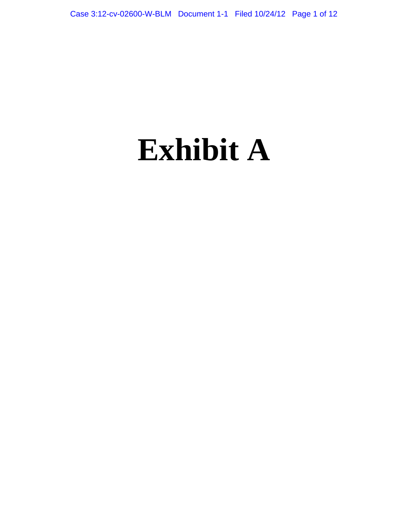# **Exhibit A**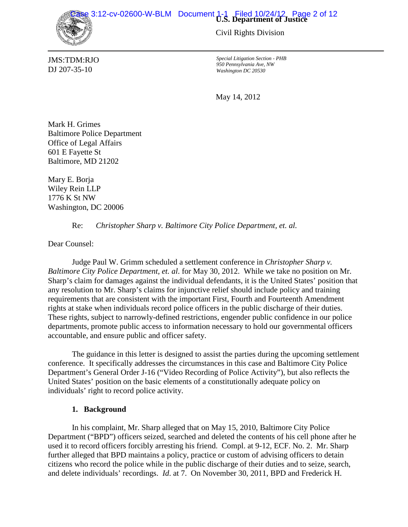Case 3:12-cv-02600-W-BLM Document 1-1 Filed 10/24/12 Page 2 of 12



Civil Rights Division

*Special Litigation Section - PHB 950 Pennsylvania Ave, NW Washington DC 20530*

May 14, 2012

Mark H. Grimes Baltimore Police Department Office of Legal Affairs 601 E Fayette St Baltimore, MD 21202

Mary E. Borja Wiley Rein LLP 1776 K St NW Washington, DC 20006

Re: *Christopher Sharp v. Baltimore City Police Department, et. al.*

Dear Counsel:

Judge Paul W. Grimm scheduled a settlement conference in *Christopher Sharp v. Baltimore City Police Department, et. al*. for May 30, 2012. While we take no position on Mr. Sharp's claim for damages against the individual defendants, it is the United States' position that any resolution to Mr. Sharp's claims for injunctive relief should include policy and training requirements that are consistent with the important First, Fourth and Fourteenth Amendment rights at stake when individuals record police officers in the public discharge of their duties. These rights, subject to narrowly-defined restrictions, engender public confidence in our police departments, promote public access to information necessary to hold our governmental officers accountable, and ensure public and officer safety.

The guidance in this letter is designed to assist the parties during the upcoming settlement conference. It specifically addresses the circumstances in this case and Baltimore City Police Department's General Order J-16 ("Video Recording of Police Activity"), but also reflects the United States' position on the basic elements of a constitutionally adequate policy on individuals' right to record police activity.

## **1. Background**

In his complaint, Mr. Sharp alleged that on May 15, 2010, Baltimore City Police Department ("BPD") officers seized, searched and deleted the contents of his cell phone after he used it to record officers forcibly arresting his friend. Compl. at 9-12, ECF. No. 2. Mr. Sharp further alleged that BPD maintains a policy, practice or custom of advising officers to detain citizens who record the police while in the public discharge of their duties and to seize, search, and delete individuals' recordings. *Id*. at 7. On November 30, 2011, BPD and Frederick H.

JMS:TDM:RJO DJ 207-35-10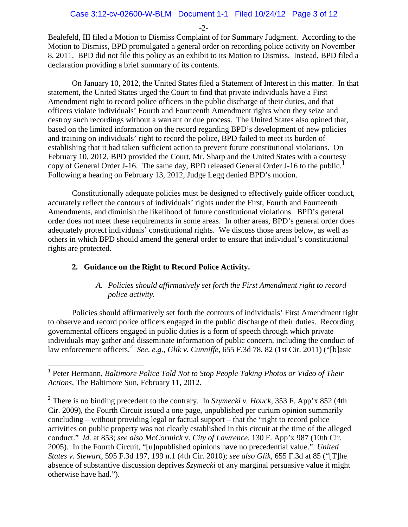-2-

Bealefeld, III filed a Motion to Dismiss Complaint of for Summary Judgment. According to the Motion to Dismiss, BPD promulgated a general order on recording police activity on November 8, 2011. BPD did not file this policy as an exhibit to its Motion to Dismiss. Instead, BPD filed a declaration providing a brief summary of its contents.

On January 10, 2012, the United States filed a Statement of Interest in this matter. In that statement, the United States urged the Court to find that private individuals have a First Amendment right to record police officers in the public discharge of their duties, and that officers violate individuals' Fourth and Fourteenth Amendment rights when they seize and destroy such recordings without a warrant or due process. The United States also opined that, based on the limited information on the record regarding BPD's development of new policies and training on individuals' right to record the police, BPD failed to meet its burden of establishing that it had taken sufficient action to prevent future constitutional violations. On February 10, 2012, BPD provided the Court, Mr. Sharp and the United States with a courtesy copy of General Order J-[1](#page-18-0)6. The same day, BPD released General Order J-16 to the public.<sup>1</sup> Following a hearing on February 13, 2012, Judge Legg denied BPD's motion.

Constitutionally adequate policies must be designed to effectively guide officer conduct, accurately reflect the contours of individuals' rights under the First, Fourth and Fourteenth Amendments, and diminish the likelihood of future constitutional violations. BPD's general order does not meet these requirements in some areas. In other areas, BPD's general order does adequately protect individuals' constitutional rights. We discuss those areas below, as well as others in which BPD should amend the general order to ensure that individual's constitutional rights are protected.

## **2. Guidance on the Right to Record Police Activity.**

## *A. Policies should affirmatively set forth the First Amendment right to record police activity.*

Policies should affirmatively set forth the contours of individuals' First Amendment right to observe and record police officers engaged in the public discharge of their duties. Recording governmental officers engaged in public duties is a form of speech through which private individuals may gather and disseminate information of public concern, including the conduct of law enforcement officers.[2](#page-18-1) *See, e.g.*, *Glik v. Cunniffe*, 655 F.3d 78, 82 (1st Cir. 2011) ("[b]asic

<span id="page-18-0"></span> <sup>1</sup> Peter Hermann, *Baltimore Police Told Not to Stop People Taking Photos or Video of Their Actions*, The Baltimore Sun, February 11, 2012.

<span id="page-18-1"></span><sup>2</sup> There is no binding precedent to the contrary. In *Szymecki v. Houck*, 353 F. App'x 852 (4th Cir. 2009), the Fourth Circuit issued a one page, unpublished per curium opinion summarily concluding – without providing legal or factual support – that the "right to record police activities on public property was not clearly established in this circuit at the time of the alleged conduct." *Id.* at 853; *see also McCormick* v. *City of Lawrence*, 130 F. App'x 987 (10th Cir. 2005). In the Fourth Circuit, "[u]npublished opinions have no precedential value." *United States v. Stewart*, 595 F.3d 197, 199 n.1 (4th Cir. 2010); *see also Glik*, 655 F.3d at 85 ("[T]he absence of substantive discussion deprives *Szymecki* of any marginal persuasive value it might otherwise have had.").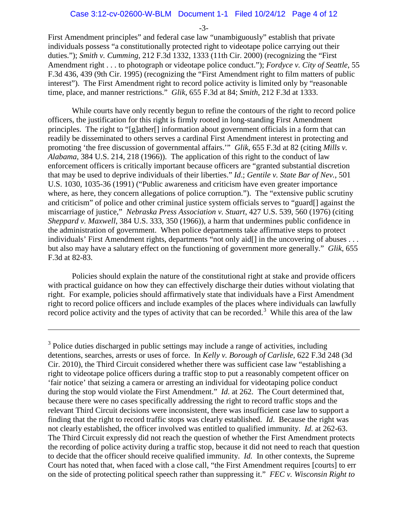-3-

First Amendment principles" and federal case law "unambiguously" establish that private individuals possess "a constitutionally protected right to videotape police carrying out their duties."); *Smith v. Cumming*, 212 F.3d 1332, 1333 (11th Cir. 2000) (recognizing the "First Amendment right . . . to photograph or videotape police conduct."); *Fordyce v. City of Seattle*, 55 F.3d 436, 439 (9th Cir. 1995) (recognizing the "First Amendment right to film matters of public interest"). The First Amendment right to record police activity is limited only by "reasonable time, place, and manner restrictions." *Glik*, 655 F.3d at 84; *Smith*, 212 F.3d at 1333.

While courts have only recently begun to refine the contours of the right to record police officers, the justification for this right is firmly rooted in long-standing First Amendment principles. The right to "[g]ather[] information about government officials in a form that can readily be disseminated to others serves a cardinal First Amendment interest in protecting and promoting 'the free discussion of governmental affairs.'" *Glik*, 655 F.3d at 82 (citing *Mills v. Alabama,* 384 U.S. 214, 218 (1966)). The application of this right to the conduct of law enforcement officers is critically important because officers are "granted substantial discretion that may be used to deprive individuals of their liberties." *Id*.; *Gentile v. State Bar of Nev.*, 501 U.S. 1030, 1035-36 (1991) ("Public awareness and criticism have even greater importance where, as here, they concern allegations of police corruption."). The "extensive public scrutiny and criticism" of police and other criminal justice system officials serves to "guard[] against the miscarriage of justice," *Nebraska Press Association v. Stuart*, 427 U.S. 539, 560 (1976) (citing *Sheppard v. Maxwell*, 384 U.S. 333, 350 (1966)), a harm that undermines public confidence in the administration of government. When police departments take affirmative steps to protect individuals' First Amendment rights, departments "not only aid[] in the uncovering of abuses ... but also may have a salutary effect on the functioning of government more generally." *Glik*, 655 F.3d at 82-83.

Policies should explain the nature of the constitutional right at stake and provide officers with practical guidance on how they can effectively discharge their duties without violating that right. For example, policies should affirmatively state that individuals have a First Amendment right to record police officers and include examples of the places where individuals can lawfully record police activity and the types of activity that can be recorded.<sup>[3](#page-19-0)</sup> While this area of the law

 $\overline{a}$ 

<span id="page-19-0"></span><sup>3</sup> Police duties discharged in public settings may include a range of activities, including detentions, searches, arrests or uses of force. In *Kelly v. Borough of Carlisle*, 622 F.3d 248 (3d Cir. 2010), the Third Circuit considered whether there was sufficient case law "establishing a right to videotape police officers during a traffic stop to put a reasonably competent officer on 'fair notice' that seizing a camera or arresting an individual for videotaping police conduct during the stop would violate the First Amendment." *Id*. at 262. The Court determined that, because there were no cases specifically addressing the right to record traffic stops and the relevant Third Circuit decisions were inconsistent, there was insufficient case law to support a finding that the right to record traffic stops was clearly established. *Id*. Because the right was not clearly established, the officer involved was entitled to qualified immunity. *Id.* at 262-63. The Third Circuit expressly did not reach the question of whether the First Amendment protects the recording of police activity during a traffic stop, because it did not need to reach that question to decide that the officer should receive qualified immunity. *Id.* In other contexts, the Supreme Court has noted that, when faced with a close call, "the First Amendment requires [courts] to err on the side of protecting political speech rather than suppressing it." *FEC v. Wisconsin Right to*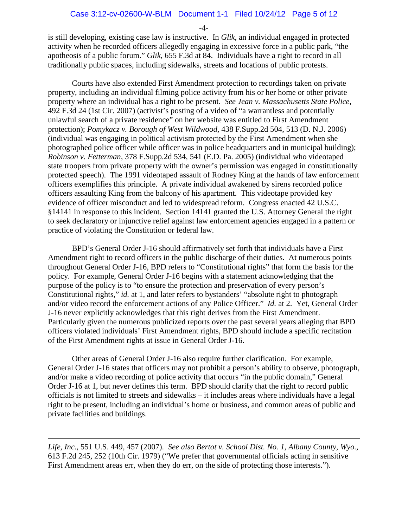-4-

is still developing, existing case law is instructive. In *Glik*, an individual engaged in protected activity when he recorded officers allegedly engaging in excessive force in a public park, "the apotheosis of a public forum." *Glik*, 655 F.3d at 84. Individuals have a right to record in all traditionally public spaces, including sidewalks, streets and locations of public protests.

Courts have also extended First Amendment protection to recordings taken on private property, including an individual filming police activity from his or her home or other private property where an individual has a right to be present. *See Jean v. Massachusetts State Police*, 492 F.3d 24 (1st Cir. 2007) (activist's posting of a video of "a warrantless and potentially unlawful search of a private residence" on her website was entitled to First Amendment protection); *Pomykacz v. Borough of West Wildwood*, 438 F.Supp.2d 504, 513 (D. N.J. 2006) (individual was engaging in political activism protected by the First Amendment when she photographed police officer while officer was in police headquarters and in municipal building); *Robinson v. Fetterman*, 378 F.Supp.2d 534, 541 (E.D. Pa. 2005) (individual who videotaped state troopers from private property with the owner's permission was engaged in constitutionally protected speech). The 1991 videotaped assault of Rodney King at the hands of law enforcement officers exemplifies this principle. A private individual awakened by sirens recorded police officers assaulting King from the balcony of his apartment. This videotape provided key evidence of officer misconduct and led to widespread reform. Congress enacted 42 U.S.C. §14141 in response to this incident. Section 14141 granted the U.S. Attorney General the right to seek declaratory or injunctive relief against law enforcement agencies engaged in a pattern or practice of violating the Constitution or federal law.

BPD's General Order J-16 should affirmatively set forth that individuals have a First Amendment right to record officers in the public discharge of their duties. At numerous points throughout General Order J-16, BPD refers to "Constitutional rights" that form the basis for the policy. For example, General Order J-16 begins with a statement acknowledging that the purpose of the policy is to "to ensure the protection and preservation of every person's Constitutional rights," *id.* at 1, and later refers to bystanders' "absolute right to photograph and/or video record the enforcement actions of any Police Officer." *Id.* at 2. Yet, General Order J-16 never explicitly acknowledges that this right derives from the First Amendment. Particularly given the numerous publicized reports over the past several years alleging that BPD officers violated individuals' First Amendment rights, BPD should include a specific recitation of the First Amendment rights at issue in General Order J-16.

Other areas of General Order J-16 also require further clarification. For example, General Order J-16 states that officers may not prohibit a person's ability to observe, photograph, and/or make a video recording of police activity that occurs "in the public domain," General Order J-16 at 1, but never defines this term. BPD should clarify that the right to record public officials is not limited to streets and sidewalks – it includes areas where individuals have a legal right to be present, including an individual's home or business, and common areas of public and private facilities and buildings.

*Life, Inc.,* 551 U.S. 449, 457 (2007). *See also Bertot v. School Dist. No. 1, Albany County, Wyo.,* 613 F.2d 245, 252 (10th Cir. 1979) ("We prefer that governmental officials acting in sensitive First Amendment areas err, when they do err, on the side of protecting those interests.").

 $\overline{a}$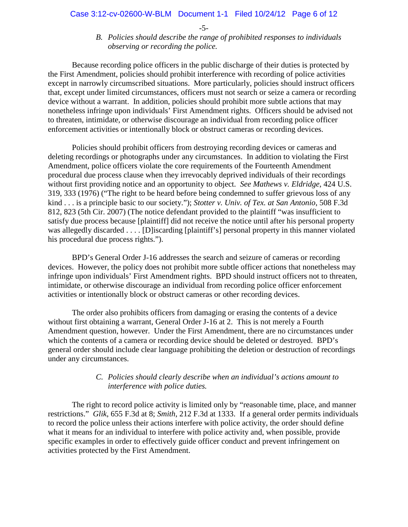-5-

## *B. Policies should describe the range of prohibited responses to individuals observing or recording the police.*

Because recording police officers in the public discharge of their duties is protected by the First Amendment, policies should prohibit interference with recording of police activities except in narrowly circumscribed situations. More particularly, policies should instruct officers that, except under limited circumstances, officers must not search or seize a camera or recording device without a warrant. In addition, policies should prohibit more subtle actions that may nonetheless infringe upon individuals' First Amendment rights. Officers should be advised not to threaten, intimidate, or otherwise discourage an individual from recording police officer enforcement activities or intentionally block or obstruct cameras or recording devices.

Policies should prohibit officers from destroying recording devices or cameras and deleting recordings or photographs under any circumstances. In addition to violating the First Amendment, police officers violate the core requirements of the Fourteenth Amendment procedural due process clause when they irrevocably deprived individuals of their recordings without first providing notice and an opportunity to object. *See Mathews v. Eldridge*, 424 U.S. 319, 333 (1976) ("The right to be heard before being condemned to suffer grievous loss of any kind . . . is a principle basic to our society."); *Stotter v. Univ. of Tex. at San Antonio*, 508 F.3d 812, 823 (5th Cir. 2007) (The notice defendant provided to the plaintiff "was insufficient to satisfy due process because [plaintiff] did not receive the notice until after his personal property was allegedly discarded . . . . [D] iscarding [plaintiff's] personal property in this manner violated his procedural due process rights.").

BPD's General Order J-16 addresses the search and seizure of cameras or recording devices. However, the policy does not prohibit more subtle officer actions that nonetheless may infringe upon individuals' First Amendment rights. BPD should instruct officers not to threaten, intimidate, or otherwise discourage an individual from recording police officer enforcement activities or intentionally block or obstruct cameras or other recording devices.

The order also prohibits officers from damaging or erasing the contents of a device without first obtaining a warrant, General Order J-16 at 2. This is not merely a Fourth Amendment question, however. Under the First Amendment, there are no circumstances under which the contents of a camera or recording device should be deleted or destroyed. BPD's general order should include clear language prohibiting the deletion or destruction of recordings under any circumstances.

## *C. Policies should clearly describe when an individual's actions amount to interference with police duties.*

The right to record police activity is limited only by "reasonable time, place, and manner restrictions." *Glik*, 655 F.3d at 8; *Smith*, 212 F.3d at 1333. If a general order permits individuals to record the police unless their actions interfere with police activity, the order should define what it means for an individual to interfere with police activity and, when possible, provide specific examples in order to effectively guide officer conduct and prevent infringement on activities protected by the First Amendment.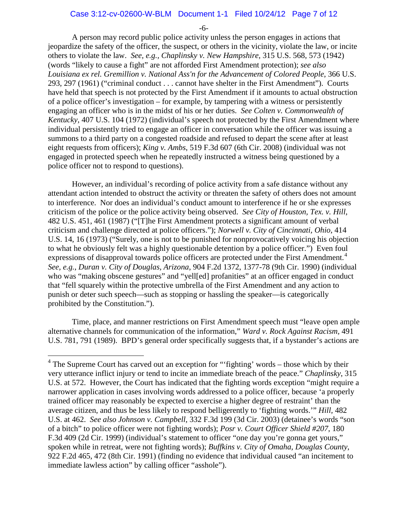#### Case 3:12-cv-02600-W-BLM Document 1-1 Filed 10/24/12 Page 7 of 12

-6-

A person may record public police activity unless the person engages in actions that jeopardize the safety of the officer, the suspect, or others in the vicinity, violate the law, or incite others to violate the law. *See, e.g., Chaplinsky v. New Hampshire*, 315 U.S. 568, 573 (1942) (words "likely to cause a fight" are not afforded First Amendment protection); *see also Louisiana ex rel. Gremillion v. National Ass'n for the Advancement of Colored People*, 366 U.S. 293, 297 (1961) ("criminal conduct . . . cannot have shelter in the First Amendment"). Courts have held that speech is not protected by the First Amendment if it amounts to actual obstruction of a police officer's investigation – for example, by tampering with a witness or persistently engaging an officer who is in the midst of his or her duties. *See Colten v. Commonwealth of Kentucky*, 407 U.S. 104 (1972) (individual's speech not protected by the First Amendment where individual persistently tried to engage an officer in conversation while the officer was issuing a summons to a third party on a congested roadside and refused to depart the scene after at least eight requests from officers); *King v. Ambs*, 519 F.3d 607 (6th Cir. 2008) (individual was not engaged in protected speech when he repeatedly instructed a witness being questioned by a police officer not to respond to questions).

However, an individual's recording of police activity from a safe distance without any attendant action intended to obstruct the activity or threaten the safety of others does not amount to interference. Nor does an individual's conduct amount to interference if he or she expresses criticism of the police or the police activity being observed. *See City of Houston, Tex. v. Hill*, 482 U.S. 451, 461 (1987) ("[T]he First Amendment protects a significant amount of verbal criticism and challenge directed at police officers."); *Norwell v. City of Cincinnati, Ohio*, 414 U.S. 14, 16 (1973) ("Surely, one is not to be punished for nonprovocatively voicing his objection to what he obviously felt was a highly questionable detention by a police officer.") Even foul expressions of disapproval towards police officers are protected under the First Amendment.<sup>[4](#page-22-0)</sup> *See, e.g.*, *Duran v. City of Douglas, Arizona*, 904 F.2d 1372, 1377-78 (9th Cir. 1990) (individual who was "making obscene gestures" and "yell[ed] profanities" at an officer engaged in conduct that "fell squarely within the protective umbrella of the First Amendment and any action to punish or deter such speech—such as stopping or hassling the speaker—is categorically prohibited by the Constitution.").

Time, place, and manner restrictions on First Amendment speech must "leave open ample alternative channels for communication of the information," *Ward v. Rock Against Racism,* 491 U.S. 781, 791 (1989). BPD's general order specifically suggests that, if a bystander's actions are

<span id="page-22-0"></span><sup>&</sup>lt;sup>4</sup> The Supreme Court has carved out an exception for "'fighting' words – those which by their very utterance inflict injury or tend to incite an immediate breach of the peace." *Chaplinsky*, 315 U.S. at 572. However, the Court has indicated that the fighting words exception "might require a narrower application in cases involving words addressed to a police officer, because 'a properly trained officer may reasonably be expected to exercise a higher degree of restraint' than the average citizen, and thus be less likely to respond belligerently to 'fighting words.'" *Hill,* 482 U.S. at 462. *See also Johnson v. Campbell*, 332 F.3d 199 (3d Cir. 2003) (detainee's words "son of a bitch" to police officer were not fighting words); *Posr v. Court Officer Shield #207*, 180 F.3d 409 (2d Cir. 1999) (individual's statement to officer "one day you're gonna get yours," spoken while in retreat, were not fighting words); *Buffkins v. City of Omaha, Douglas County*, 922 F.2d 465, 472 (8th Cir. 1991) (finding no evidence that individual caused "an incitement to immediate lawless action" by calling officer "asshole").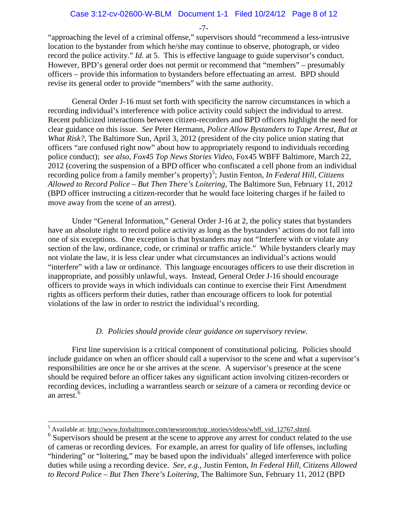-7-

"approaching the level of a criminal offense," supervisors should "recommend a less-intrusive location to the bystander from which he/she may continue to observe, photograph, or video record the police activity." *Id*. at 5. This is effective language to guide supervisor's conduct. However, BPD's general order does not permit or recommend that "members" – presumably officers – provide this information to bystanders before effectuating an arrest. BPD should revise its general order to provide "members" with the same authority.

General Order J-16 must set forth with specificity the narrow circumstances in which a recording individual's interference with police activity could subject the individual to arrest. Recent publicized interactions between citizen-recorders and BPD officers highlight the need for clear guidance on this issue. *See* Peter Hermann, *Police Allow Bystanders to Tape Arrest, But at What Risk?*, The Baltimore Sun, April 3, 2012 (president of the city police union stating that officers "are confused right now" about how to appropriately respond to individuals recording police conduct); *see also*, *Fox45 Top News Stories Video*, Fox45 WBFF Baltimore, March 22, 2012 (covering the suspension of a BPD officer who confiscated a cell phone from an individual recording police from a family member's property)<sup>[5](#page-23-0)</sup>; Justin Fenton, *In Federal Hill, Citizens Allowed to Record Police – But Then There's Loitering*, The Baltimore Sun, February 11, 2012 (BPD officer instructing a citizen-recorder that he would face loitering charges if he failed to move away from the scene of an arrest).

Under "General Information," General Order J-16 at 2, the policy states that bystanders have an absolute right to record police activity as long as the bystanders' actions do not fall into one of six exceptions. One exception is that bystanders may not "Interfere with or violate any section of the law, ordinance, code, or criminal or traffic article." While bystanders clearly may not violate the law, it is less clear under what circumstances an individual's actions would "interfere" with a law or ordinance. This language encourages officers to use their discretion in inappropriate, and possibly unlawful, ways. Instead, General Order J-16 should encourage officers to provide ways in which individuals can continue to exercise their First Amendment rights as officers perform their duties, rather than encourage officers to look for potential violations of the law in order to restrict the individual's recording.

## *D. Policies should provide clear guidance on supervisory review.*

First line supervision is a critical component of constitutional policing. Policies should include guidance on when an officer should call a supervisor to the scene and what a supervisor's responsibilities are once he or she arrives at the scene. A supervisor's presence at the scene should be required before an officer takes any significant action involving citizen-recorders or recording devices, including a warrantless search or seizure of a camera or recording device or an arrest.<sup>[6](#page-23-1)</sup>

<span id="page-23-1"></span><span id="page-23-0"></span>

<sup>&</sup>lt;sup>5</sup> Available at[: http://www.foxbaltimore.com/newsroom/top\\_stories/videos/wbff\\_vid\\_12767.shtml.](http://www.foxbaltimore.com/newsroom/top_stories/videos/wbff_vid_12767.shtml) <sup>6</sup> Supervisors should be present at the scene to approve any arrest for conduct related to the use of cameras or recording devices. For example, an arrest for quality of life offenses, including "hindering" or "loitering," may be based upon the individuals' alleged interference with police duties while using a recording device. *See, e.g.,* Justin Fenton, *In Federal Hill, Citizens Allowed to Record Police – But Then There's Loitering*, The Baltimore Sun, February 11, 2012 (BPD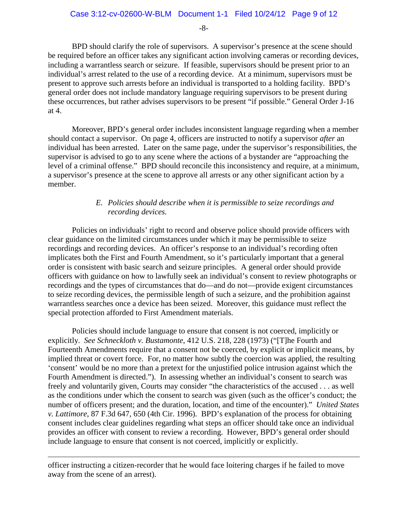-8-

BPD should clarify the role of supervisors. A supervisor's presence at the scene should be required before an officer takes any significant action involving cameras or recording devices, including a warrantless search or seizure. If feasible, supervisors should be present prior to an individual's arrest related to the use of a recording device. At a minimum, supervisors must be present to approve such arrests before an individual is transported to a holding facility. BPD's general order does not include mandatory language requiring supervisors to be present during these occurrences, but rather advises supervisors to be present "if possible." General Order J-16 at 4.

Moreover, BPD's general order includes inconsistent language regarding when a member should contact a supervisor.On page 4, officers are instructed to notify a supervisor *after* an individual has been arrested. Later on the same page, under the supervisor's responsibilities, the supervisor is advised to go to any scene where the actions of a bystander are "approaching the level of a criminal offense." BPD should reconcile this inconsistency and require, at a minimum, a supervisor's presence at the scene to approve all arrests or any other significant action by a member.

## *E. Policies should describe when it is permissible to seize recordings and recording devices.*

Policies on individuals' right to record and observe police should provide officers with clear guidance on the limited circumstances under which it may be permissible to seize recordings and recording devices. An officer's response to an individual's recording often implicates both the First and Fourth Amendment, so it's particularly important that a general order is consistent with basic search and seizure principles. A general order should provide officers with guidance on how to lawfully seek an individual's consent to review photographs or recordings and the types of circumstances that do—and do not—provide exigent circumstances to seize recording devices, the permissible length of such a seizure, and the prohibition against warrantless searches once a device has been seized. Moreover, this guidance must reflect the special protection afforded to First Amendment materials.

Policies should include language to ensure that consent is not coerced, implicitly or explicitly. *See Schneckloth v. Bustamonte*, 412 U.S. 218, 228 (1973) ("[T]he Fourth and Fourteenth Amendments require that a consent not be coerced, by explicit or implicit means, by implied threat or covert force. For, no matter how subtly the coercion was applied, the resulting 'consent' would be no more than a pretext for the unjustified police intrusion against which the Fourth Amendment is directed."). In assessing whether an individual's consent to search was freely and voluntarily given, Courts may consider "the characteristics of the accused . . . as well as the conditions under which the consent to search was given (such as the officer's conduct; the number of officers present; and the duration, location, and time of the encounter)." *United States v. Lattimore*, 87 F.3d 647, 650 (4th Cir. 1996). BPD's explanation of the process for obtaining consent includes clear guidelines regarding what steps an officer should take once an individual provides an officer with consent to review a recording. However, BPD's general order should include language to ensure that consent is not coerced, implicitly or explicitly.

officer instructing a citizen-recorder that he would face loitering charges if he failed to move away from the scene of an arrest).

 $\overline{a}$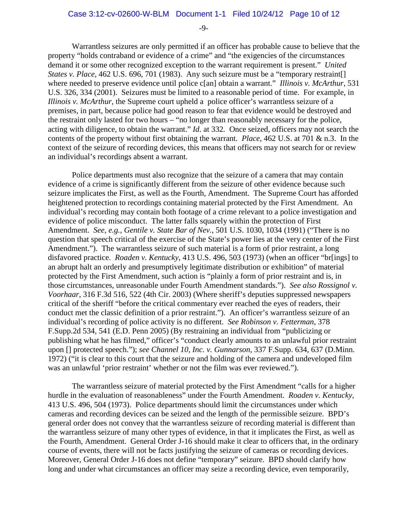-9-

Warrantless seizures are only permitted if an officer has probable cause to believe that the property "holds contraband or evidence of a crime" and "the exigencies of the circumstances demand it or some other recognized exception to the warrant requirement is present." *United States v. Place*, 462 U.S. 696, 701 (1983). Any such seizure must be a "temporary restraint. where needed to preserve evidence until police c[an] obtain a warrant." *Illinois v. McArthur*, 531 U.S. 326, 334 (2001). Seizures must be limited to a reasonable period of time. For example, in *Illinois v. McArthur*, the Supreme court upheld a police officer's warrantless seizure of a premises, in part, because police had good reason to fear that evidence would be destroyed and the restraint only lasted for two hours – "no longer than reasonably necessary for the police, acting with diligence, to obtain the warrant." *Id*. at 332*.* Once seized, officers may not search the contents of the property without first obtaining the warrant. *Place*, 462 U.S. at 701 & n.3. In the context of the seizure of recording devices, this means that officers may not search for or review an individual's recordings absent a warrant.

Police departments must also recognize that the seizure of a camera that may contain evidence of a crime is significantly different from the seizure of other evidence because such seizure implicates the First, as well as the Fourth, Amendment. The Supreme Court has afforded heightened protection to recordings containing material protected by the First Amendment. An individual's recording may contain both footage of a crime relevant to a police investigation and evidence of police misconduct. The latter falls squarely within the protection of First Amendment. *See, e.g., Gentile v. State Bar of Nev.*, 501 U.S. 1030, 1034 (1991) ("There is no question that speech critical of the exercise of the State's power lies at the very center of the First Amendment."). The warrantless seizure of such material is a form of prior restraint, a long disfavored practice. *Roaden v. Kentucky*, 413 U.S. 496, 503 (1973) (when an officer "br[ings] to an abrupt halt an orderly and presumptively legitimate distribution or exhibition" of material protected by the First Amendment, such action is "plainly a form of prior restraint and is, in those circumstances, unreasonable under Fourth Amendment standards."). *See also Rossignol v. Voorhaar*, 316 F.3d 516, 522 (4th Cir. 2003) (Where sheriff's deputies suppressed newspapers critical of the sheriff "before the critical commentary ever reached the eyes of readers, their conduct met the classic definition of a prior restraint."). An officer's warrantless seizure of an individual's recording of police activity is no different. *See Robinson v. Fetterman*, 378 F.Supp.2d 534, 541 (E.D. Penn 2005) (By restraining an individual from "publicizing or publishing what he has filmed," officer's "conduct clearly amounts to an unlawful prior restraint upon [] protected speech."); *see Channel 10, Inc. v. Gunnarson*, 337 F.Supp. 634, 637 (D.Minn. 1972) ("it is clear to this court that the seizure and holding of the camera and undeveloped film was an unlawful 'prior restraint' whether or not the film was ever reviewed.").

The warrantless seizure of material protected by the First Amendment "calls for a higher hurdle in the evaluation of reasonableness" under the Fourth Amendment. *Roaden v. Kentucky*, 413 U.S. 496, 504 (1973). Police departments should limit the circumstances under which cameras and recording devices can be seized and the length of the permissible seizure. BPD's general order does not convey that the warrantless seizure of recording material is different than the warrantless seizure of many other types of evidence, in that it implicates the First, as well as the Fourth, Amendment. General Order J-16 should make it clear to officers that, in the ordinary course of events, there will not be facts justifying the seizure of cameras or recording devices. Moreover, General Order J-16 does not define "temporary" seizure. BPD should clarify how long and under what circumstances an officer may seize a recording device, even temporarily,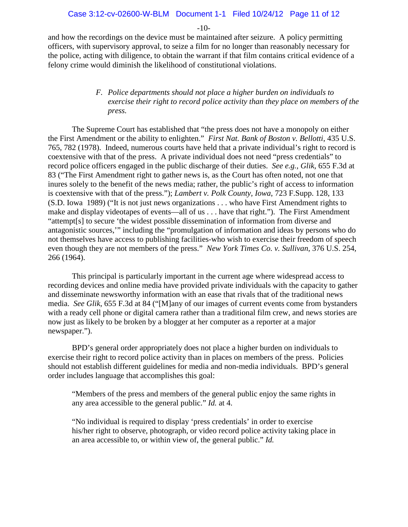-10-

and how the recordings on the device must be maintained after seizure. A policy permitting officers, with supervisory approval, to seize a film for no longer than reasonably necessary for the police, acting with diligence, to obtain the warrant if that film contains critical evidence of a felony crime would diminish the likelihood of constitutional violations.

## *F. Police departments should not place a higher burden on individuals to exercise their right to record police activity than they place on members of the press.*

The Supreme Court has established that "the press does not have a monopoly on either the First Amendment or the ability to enlighten." *First Nat. Bank of Boston v. Bellotti*, 435 U.S. 765, 782 (1978). Indeed, numerous courts have held that a private individual's right to record is coextensive with that of the press. A private individual does not need "press credentials" to record police officers engaged in the public discharge of their duties. *See e.g., Glik*, 655 F.3d at 83 ("The First Amendment right to gather news is, as the Court has often noted, not one that inures solely to the benefit of the news media; rather, the public's right of access to information is coextensive with that of the press."); *Lambert v. Polk County, Iowa*, 723 F.Supp. 128, 133 (S.D. Iowa 1989) ("It is not just news organizations . . . who have First Amendment rights to make and display videotapes of events—all of us . . . have that right."). The First Amendment "attempt[s] to secure 'the widest possible dissemination of information from diverse and antagonistic sources,'" including the "promulgation of information and ideas by persons who do not themselves have access to publishing facilities-who wish to exercise their freedom of speech even though they are not members of the press." *New York Times Co. v. Sullivan*, 376 U.S. 254, 266 (1964).

This principal is particularly important in the current age where widespread access to recording devices and online media have provided private individuals with the capacity to gather and disseminate newsworthy information with an ease that rivals that of the traditional news media. *See Glik*, 655 F.3d at 84 ("[M]any of our images of current events come from bystanders with a ready cell phone or digital camera rather than a traditional film crew, and news stories are now just as likely to be broken by a blogger at her computer as a reporter at a major newspaper.").

BPD's general order appropriately does not place a higher burden on individuals to exercise their right to record police activity than in places on members of the press. Policies should not establish different guidelines for media and non-media individuals. BPD's general order includes language that accomplishes this goal:

"Members of the press and members of the general public enjoy the same rights in any area accessible to the general public." *Id.* at 4.

"No individual is required to display 'press credentials' in order to exercise his/her right to observe, photograph, or video record police activity taking place in an area accessible to, or within view of, the general public." *Id.*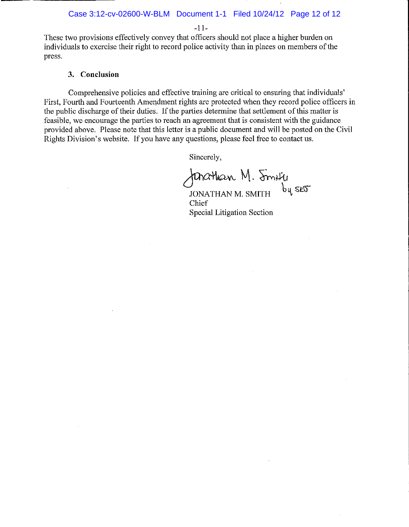$-11-$ 

These two provisions effectively convey that officers should not place a higher burden on individuals to exercise their right to record police activity than in places on members of the press.

### 3. Conclusion

Comprehensive policies and effective training are critical to ensuring that individuals' First, Fourth and Fourteenth Amendment rights are protected when they record police officers in the public discharge of their duties. If the parties determine that settlement of this matter is feasible, we encourage the parties to reach an agreement that is consistent with the guidance provided above. Please note that this letter is a public document and will be posted on the Civil Rights Division's website. If you have any questions, please feel free to contact us.

Sincerely,

Johathan M. Smity

Chief **Special Litigation Section**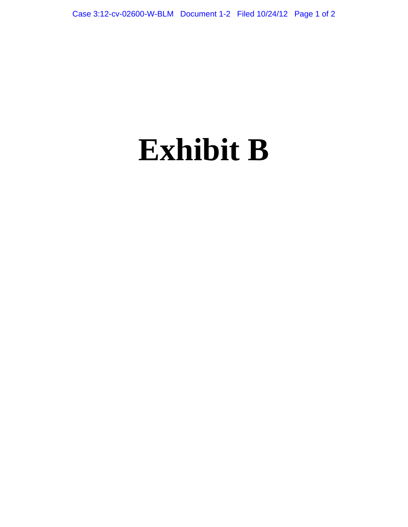# **Exhibit B**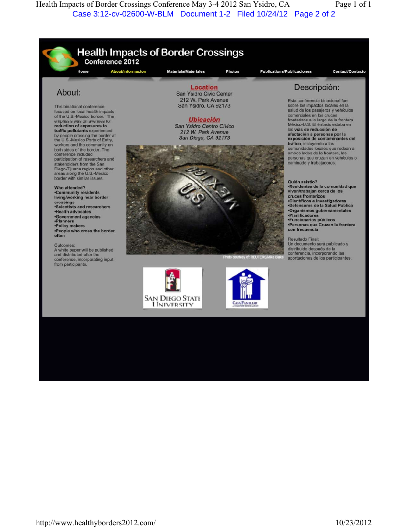Health Impacts of Border Crossings Conference May 3-4 2012 San Ysidro, CA Page 1 of 1 Case 3:12-cv-02600-W-BLM Document 1-2 Filed 10/24/12 Page 2 of 2

**Health Impacts of Border Crossings** Conference 2012 **About/Informacion** Materials/Materiales Home Photos **Publications/Publicaciones Contact/Contacto Location** Descripción: About: San Ysidro Civic Center 212 W. Park Avenue Esta conferencia binacional fue San Ysidro, CA 92173 sobre los impactos locales en la This binational conference salud de los pasajeros y vehículos focused on local health impacts of the U.S.-Mexico border. The comerciales en los cruces **Ubicación** fronterizos a lo largo de la frontera<br>México-U.S. El énfasis estaba en emphasis was on avenues for<br>reduction of exposures to San Ysidro Centro Cívico las vías de reducción de traffic pollutants experienced 212 W. Park Avenue by people crossing the border at<br>the U.S.-Mexico Ports of Entry, afectación a personas por la<br>exposición de contaminantes del San Diego, CA 92173 tráfico, incluyendo a las workers and the community on comunidades locales que rodean a<br>ambos lados de la frontera, las both sides of the border. The conference included personas que cruzan en vehículos o participation of researchers and caminado y trabajadores. stakeholders from the San Diego-Tijuana region and other<br>areas along the U.S.-Mexico border with similar issues. Quién asistio? -Residentes de la comunidad que<br>viven/trabajan cerca de los Who attended? Community residents<br>living/working near border cruces fronterizos<br>•Científicos e Investigadores<br>•Defensores de la Salud Pública crossings<br>
Scientists and researchers **-Organismos gubernamentales** .Health advocates **-Health advocates<br>-Government agencies**<br>-Planners «Planificadores<br>«Funcionarios públicos •Planners<br>•Policy makers<br>•People who cross the border<br>often «Personas que Cruzan la frontera con frecuencia Resultado Final: Un documento será publicado y Outcomes: distribuido después de la<br>conferencia, incorporando las A white paper will be published and distributed after the oto courtesy of: REUTERS/Mike B aportaciones de los participantes. conference, incorporating input from participants. **SAN DIEGO STATE I INIVERSITY CASA FAMILIAR**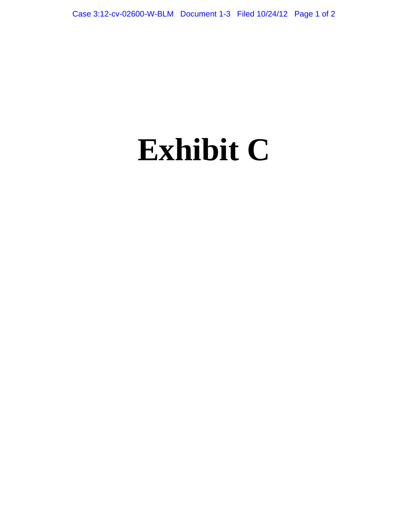# **Exhibit C**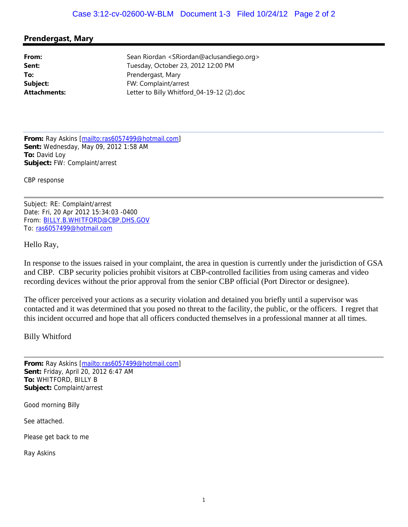## **Prendergast, Mary**

**From:** Sean Riordan <SRiordan@aclusandiego.org> **Sent:** Tuesday, October 23, 2012 12:00 PM **To:** Prendergast, Mary **Subject:** FW: Complaint/arrest **Attachments:** Letter to Billy Whitford\_04-19-12 (2).doc

**From:** Ray Askins [mailto:ras6057499@hotmail.com] **Sent:** Wednesday, May 09, 2012 1:58 AM **To:** David Loy **Subject:** FW: Complaint/arrest

CBP response

Subject: RE: Complaint/arrest Date: Fri, 20 Apr 2012 15:34:03 -0400 From: BILLY.B.WHITFORD@CBP.DHS.GOV To: ras6057499@hotmail.com

Hello Ray,

In response to the issues raised in your complaint, the area in question is currently under the jurisdiction of GSA and CBP. CBP security policies prohibit visitors at CBP-controlled facilities from using cameras and video recording devices without the prior approval from the senior CBP official (Port Director or designee).

The officer perceived your actions as a security violation and detained you briefly until a supervisor was contacted and it was determined that you posed no threat to the facility, the public, or the officers. I regret that this incident occurred and hope that all officers conducted themselves in a professional manner at all times.

Billy Whitford

**From:** Ray Askins [mailto:ras6057499@hotmail.com] **Sent:** Friday, April 20, 2012 6:47 AM **To:** WHITFORD, BILLY B **Subject:** Complaint/arrest

Good morning Billy

See attached.

Please get back to me

Ray Askins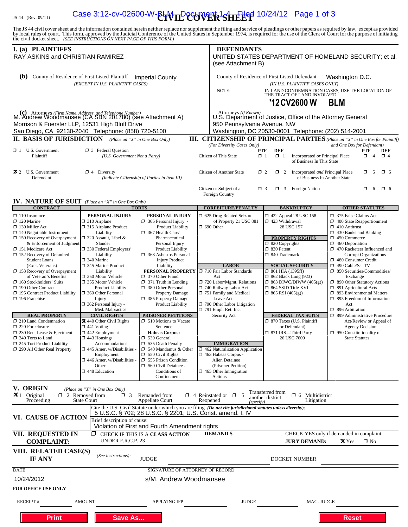# IS 44 (Rev. 09/11) **Case 3:12-cv-02600-W-EHVIL COVVER 3HEEP** 10/24/12 Page 1 of 3

The JS 44 civil cover sheet and the information contained herein neither replace nor supplement the filing and service of pleadings or other papers as required by law, except as provided<br>by local rules of court. This form,

| I. (a) PLAINTIFFS<br>RAY ASKINS and CHRISTIAN RAMIREZ                                                                                                                                                                          |                                                                                                                                                                                                               |                                                                                                                                                                                                         | <b>DEFENDANTS</b><br>UNITED STATES DEPARTMENT OF HOMELAND SECURITY; et al.<br>(see Attachment B)                                                                                                                |                                                                                                                                                                      |                                                                                                                                                                                                                                                              |
|--------------------------------------------------------------------------------------------------------------------------------------------------------------------------------------------------------------------------------|---------------------------------------------------------------------------------------------------------------------------------------------------------------------------------------------------------------|---------------------------------------------------------------------------------------------------------------------------------------------------------------------------------------------------------|-----------------------------------------------------------------------------------------------------------------------------------------------------------------------------------------------------------------|----------------------------------------------------------------------------------------------------------------------------------------------------------------------|--------------------------------------------------------------------------------------------------------------------------------------------------------------------------------------------------------------------------------------------------------------|
| (b)                                                                                                                                                                                                                            | County of Residence of First Listed Plaintiff<br>(EXCEPT IN U.S. PLAINTIFF CASES)                                                                                                                             | <b>Imperial County</b>                                                                                                                                                                                  | NOTE:                                                                                                                                                                                                           | County of Residence of First Listed Defendant<br>(IN U.S. PLAINTIFF CASES ONLY)<br>THE TRACT OF LAND INVOLVED.<br>'12 CV 2600 W                                      | Washington D.C.<br>IN LAND CONDEMNATION CASES, USE THE LOCATION OF<br><b>BLM</b>                                                                                                                                                                             |
| (c) Attorneys (Firm Name, Address, and Telephone Number)<br>M. Andrew Woodmansee (CA SBN 201780) (see Attachment A)<br>Morrison & Foerster LLP, 12531 High Bluff Drive<br>San Diego, CA 92130-2040 Telephone: (858) 720-5100   |                                                                                                                                                                                                               |                                                                                                                                                                                                         | Attorneys (If Known)<br>950 Pennsylvania Avenue, NW                                                                                                                                                             | U.S. Department of Justice, Office of the Attorney General<br>Washington, DC 20530-0001 Telephone: (202) 514-2001                                                    |                                                                                                                                                                                                                                                              |
| <b>II. BASIS OF JURISDICTION</b> (Place an "X" in One Box Only)                                                                                                                                                                |                                                                                                                                                                                                               |                                                                                                                                                                                                         |                                                                                                                                                                                                                 |                                                                                                                                                                      | <b>III. CITIZENSHIP OF PRINCIPAL PARTIES</b> (Place an "X" in One Box for Plaintiff)                                                                                                                                                                         |
| $\Box$ 1 U.S. Government<br>Plaintiff                                                                                                                                                                                          | <b>3</b> Federal Question<br>(U.S. Government Not a Party)                                                                                                                                                    |                                                                                                                                                                                                         | (For Diversity Cases Only)<br>Citizen of This State                                                                                                                                                             | <b>DEF</b><br>PTF<br>$\Box$ 1<br>Incorporated or Principal Place<br>$\Box$ 1<br>of Business In This State                                                            | and One Box for Defendant)<br>PTF<br>DEF<br>$\Box$ 4<br>$\Box$ 4                                                                                                                                                                                             |
| $\mathbf{\times}$ 2 U.S. Government<br>Defendant                                                                                                                                                                               | $\Box$ 4 Diversity                                                                                                                                                                                            | (Indicate Citizenship of Parties in Item III)                                                                                                                                                           | Citizen of Another State                                                                                                                                                                                        | $\Box$ 2 Incorporated <i>and</i> Principal Place<br>$\Box$ 2<br>of Business In Another State                                                                         | α.<br>-5<br>$\square$ 5                                                                                                                                                                                                                                      |
|                                                                                                                                                                                                                                |                                                                                                                                                                                                               |                                                                                                                                                                                                         | Citizen or Subject of a<br>Foreign Country                                                                                                                                                                      | $\Box$ 3 Foreign Nation<br>$\Box$ 3                                                                                                                                  | σ.<br>$\Box$ 6<br>6                                                                                                                                                                                                                                          |
| <b>IV. NATURE OF SUIT</b> (Place an "X" in One Box Only)                                                                                                                                                                       |                                                                                                                                                                                                               |                                                                                                                                                                                                         |                                                                                                                                                                                                                 |                                                                                                                                                                      |                                                                                                                                                                                                                                                              |
| <b>CONTRACT</b>                                                                                                                                                                                                                |                                                                                                                                                                                                               | <b>TORTS</b>                                                                                                                                                                                            | <b>FORFEITURE/PENALTY</b>                                                                                                                                                                                       | <b>BANKRUPTCY</b>                                                                                                                                                    | <b>OTHER STATUTES</b>                                                                                                                                                                                                                                        |
| $\Box$ 110 Insurance<br>$\Box$ 120 Marine<br>$\Box$ 130 Miller Act<br>$\Box$ 140 Negotiable Instrument<br>$\Box$ 150 Recovery of Overpayment<br>& Enforcement of Judgment<br>□ 151 Medicare Act<br>□ 152 Recovery of Defaulted | PERSONAL INJURY<br>$\Box$ 310 Airplane<br>□ 315 Airplane Product<br>Liability<br>320 Assault, Libel &<br>Slander<br>330 Federal Employers'<br>Liability                                                       | PERSONAL INJURY<br>$\Box$ 365 Personal Injury -<br>Product Liability<br>$\Box$ 367 Health Care/<br>Pharmaceutical<br>Personal Injury<br>Product Liability<br>368 Asbestos Personal                      | □ 625 Drug Related Seizure<br>of Property 21 USC 881<br>$\Box$ 690 Other                                                                                                                                        | 158 122 Appeal 28 USC 158<br>1 423 Withdrawal<br>28 USC 157<br><b>PROPERTY RIGHTS</b><br>$\Box$ 820 Copyrights<br>$\Box$ 830 Patent<br>$\Box$ 840 Trademark          | 375 False Claims Act<br>1 400 State Reapportionment<br>$\Box$ 410 Antitrust<br>$\Box$ 430 Banks and Banking<br>$\Box$ 450 Commerce<br>$\Box$ 460 Deportation<br>1 470 Racketeer Influenced and<br><b>Corrupt Organizations</b>                               |
| <b>Student Loans</b><br>(Excl. Veterans)<br>$\Box$ 153 Recovery of Overpayment<br>of Veteran's Benefits<br>$\Box$ 160 Stockholders' Suits<br>190 Other Contract<br>195 Contract Product Liability<br>$\Box$ 196 Franchise      | □ 340 Marine<br>345 Marine Product<br>Liability<br>□ 350 Motor Vehicle<br>□ 355 Motor Vehicle<br><b>Product Liability</b><br>360 Other Personal<br>Injury<br>$\Box$ 362 Personal Injury -<br>Med. Malpractice | <b>Injury Product</b><br>Liability<br>PERSONAL PROPERTY<br>□ 370 Other Fraud<br>$\Box$ 371 Truth in Lending<br>380 Other Personal<br><b>Property Damage</b><br>385 Property Damage<br>Product Liability | <b>LABOR</b><br>710 Fair Labor Standards<br>Act<br>720 Labor/Mgmt. Relations<br>740 Railway Labor Act<br>751 Family and Medical<br>Leave Act<br>$\Box$ 790 Other Labor Litigation<br>$\Box$ 791 Empl. Ret. Inc. | <b>SOCIAL SECURITY</b><br>$\Box$ 861 HIA (1395ff)<br>$\Box$ 862 Black Lung (923)<br>$\Box$ 863 DIWC/DIWW (405(g))<br>□ 864 SSID Title XVI<br>$\Box$ 865 RSI (405(g)) | 1 480 Consumer Credit<br>490 Cable/Sat TV<br>$\Box$ 850 Securities/Commodities/<br>Exchange<br>1 890 Other Statutory Actions<br>$\Box$ 891 Agricultural Acts<br>□ 893 Environmental Matters<br>□ 895 Freedom of Information<br>Act<br>$\Box$ 896 Arbitration |
| <b>REAL PROPERTY</b><br>$\Box$ 210 Land Condemnation<br>220 Foreclosure<br>$\Box$ 230 Rent Lease & Ejectment<br>$\Box$ 240 Torts to Land                                                                                       | <b>CIVIL RIGHTS</b><br><b>X</b> 440 Other Civil Rights<br>$\Box$ 441 Voting<br>$\Box$ 442 Employment<br>$\Box$ 443 Housing/                                                                                   | <b>PRISONER PETITIONS</b><br>$\Box$ 510 Motions to Vacate<br>Sentence<br><b>Habeas Corpus:</b><br>530 General                                                                                           | Security Act                                                                                                                                                                                                    | <b>FEDERAL TAX SUITS</b><br>□ 870 Taxes (U.S. Plaintiff<br>or Defendant)<br>□ 871 IRS—Third Party<br>26 USC 7609                                                     | □ 899 Administrative Procedure<br>Act/Review or Appeal of<br><b>Agency Decision</b><br>$\Box$ 950 Constitutionality of<br><b>State Statutes</b>                                                                                                              |
| 245 Tort Product Liability<br>290 All Other Real Property                                                                                                                                                                      | Accommodations<br>$\Box$ 445 Amer. w/Disabilities<br>Employment<br>446 Amer. w/Disabilities -<br>Other<br>448 Education                                                                                       | 535 Death Penalty<br>$\Box$ 540 Mandamus & Other<br>$\Box$ 550 Civil Rights<br>555 Prison Condition<br>560 Civil Detainee -<br>Conditions of<br>Confinement                                             | <b>IMMIGRATION</b><br>$\Box$ 462 Naturalization Application<br>1463 Habeas Corpus -<br>Alien Detainee<br>(Prisoner Petition)<br>$\Box$ 465 Other Immigration<br>Actions                                         |                                                                                                                                                                      |                                                                                                                                                                                                                                                              |
| V. ORIGIN<br>$\mathbf{\times}1$ Original<br>Proceeding                                                                                                                                                                         | (Place an "X" in One Box Only)<br>$\Box$ 2 Removed from<br>$\Box$ 3<br><b>State Court</b>                                                                                                                     | Remanded from<br><b>Appellate Court</b>                                                                                                                                                                 | $\Box$ 4 Reinstated or $\Box$ 5<br>Reopened<br>(specifv)                                                                                                                                                        | Transferred from<br>$\Box$ 6 Multidistrict<br>another district<br>Litigation                                                                                         |                                                                                                                                                                                                                                                              |
| VI. CAUSE OF ACTION                                                                                                                                                                                                            | Brief description of cause:                                                                                                                                                                                   | Violation of First and Fourth Amendment rights                                                                                                                                                          | Cite the U.S. Civil Statute under which you are filing (Do not cite jurisdictional statutes unless diversity):<br>5 U.S.C. § 702; 28 U.S.C. § 2201; U.S. Const. amend. I, IV                                    |                                                                                                                                                                      |                                                                                                                                                                                                                                                              |
| <b>VII. REQUESTED IN</b><br><b>COMPLAINT:</b>                                                                                                                                                                                  | ⊓<br>UNDER F.R.C.P. 23                                                                                                                                                                                        | CHECK IF THIS IS A CLASS ACTION                                                                                                                                                                         | <b>DEMAND \$</b>                                                                                                                                                                                                | <b>JURY DEMAND:</b>                                                                                                                                                  | CHECK YES only if demanded in complaint:<br>$\mathbf{\mathbf{X}}$ Yes<br>$\Box$ No                                                                                                                                                                           |
| VIII. RELATED CASE(S)<br><b>IF ANY</b>                                                                                                                                                                                         | (See instructions):                                                                                                                                                                                           | <b>JUDGE</b>                                                                                                                                                                                            |                                                                                                                                                                                                                 | DOCKET NUMBER                                                                                                                                                        |                                                                                                                                                                                                                                                              |
| <b>DATE</b>                                                                                                                                                                                                                    |                                                                                                                                                                                                               | SIGNATURE OF ATTORNEY OF RECORD                                                                                                                                                                         |                                                                                                                                                                                                                 |                                                                                                                                                                      |                                                                                                                                                                                                                                                              |
| 10/24/2012                                                                                                                                                                                                                     |                                                                                                                                                                                                               | s/M. Andrew Woodmansee                                                                                                                                                                                  |                                                                                                                                                                                                                 |                                                                                                                                                                      |                                                                                                                                                                                                                                                              |
| <b>FOR OFFICE USE ONLY</b>                                                                                                                                                                                                     |                                                                                                                                                                                                               |                                                                                                                                                                                                         |                                                                                                                                                                                                                 |                                                                                                                                                                      |                                                                                                                                                                                                                                                              |
| <b>RECEIPT#</b>                                                                                                                                                                                                                | <b>AMOUNT</b>                                                                                                                                                                                                 | <b>APPLYING IFP</b>                                                                                                                                                                                     | <b>JUDGE</b>                                                                                                                                                                                                    | MAG. JUDGE                                                                                                                                                           |                                                                                                                                                                                                                                                              |
| <b>Print</b>                                                                                                                                                                                                                   | <b>Save As</b>                                                                                                                                                                                                |                                                                                                                                                                                                         |                                                                                                                                                                                                                 |                                                                                                                                                                      | <b>Reset</b>                                                                                                                                                                                                                                                 |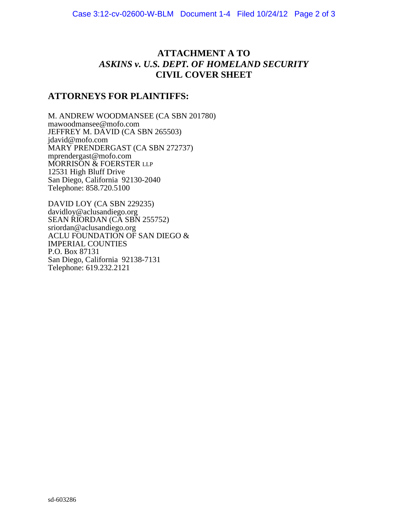# **ATTACHMENT A TO** *ASKINS v. U.S. DEPT. OF HOMELAND SECURITY* **CIVIL COVER SHEET**

# **ATTORNEYS FOR PLAINTIFFS:**

M. ANDREW WOODMANSEE (CA SBN 201780) mawoodmansee@mofo.com JEFFREY M. DAVID (CA SBN 265503) jdavid@mofo.com MARY PRENDERGAST (CA SBN 272737) mprendergast@mofo.com MORRISON & FOERSTER LLP 12531 High Bluff Drive San Diego, California 92130-2040 Telephone: 858.720.5100

DAVID LOY (CA SBN 229235) davidloy@aclusandiego.org SEAN RIORDAN (CA SBN 255752) sriordan@aclusandiego.org ACLU FOUNDATION OF SAN DIEGO & IMPERIAL COUNTIES P.O. Box 87131 San Diego, California 92138-7131 Telephone: 619.232.2121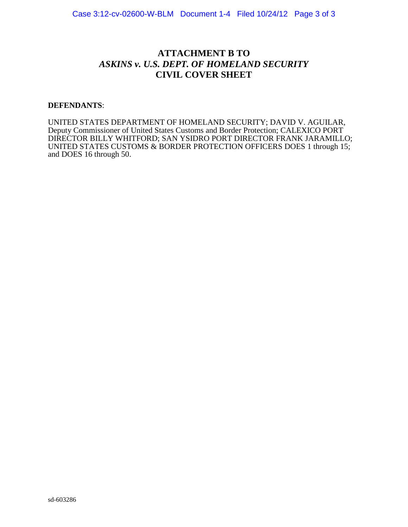# **ATTACHMENT B TO** *ASKINS v. U.S. DEPT. OF HOMELAND SECURITY* **CIVIL COVER SHEET**

## **DEFENDANTS**:

UNITED STATES DEPARTMENT OF HOMELAND SECURITY; DAVID V. AGUILAR, Deputy Commissioner of United States Customs and Border Protection; CALEXICO PORT DIRECTOR BILLY WHITFORD; SAN YSIDRO PORT DIRECTOR FRANK JARAMILLO; UNITED STATES CUSTOMS & BORDER PROTECTION OFFICERS DOES 1 through 15; and DOES 16 through 50.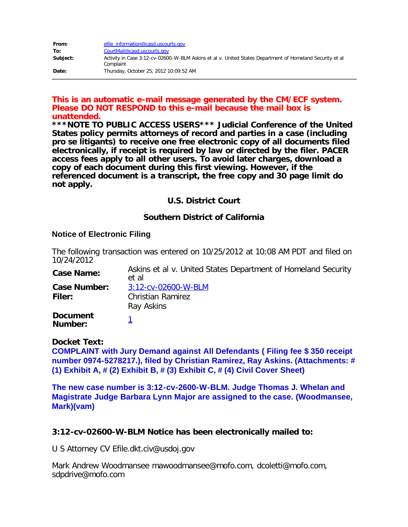| From:    | efile information@casd.uscourts.gov                                                                                   |
|----------|-----------------------------------------------------------------------------------------------------------------------|
| To:      | CourtMail@casd.uscourts.gov                                                                                           |
| Subject: | Activity in Case 3:12-cv-02600-W-BLM Askins et al v. United States Department of Homeland Security et al<br>Complaint |
| Date:    | Thursday, October 25, 2012 10:09:52 AM                                                                                |

## **This is an automatic e-mail message generated by the CM/ECF system. Please DO NOT RESPOND to this e-mail because the mail box is unattended.**

**\*\*\*NOTE TO PUBLIC ACCESS USERS\*\*\* Judicial Conference of the United States policy permits attorneys of record and parties in a case (including pro se litigants) to receive one free electronic copy of all documents filed electronically, if receipt is required by law or directed by the filer. PACER access fees apply to all other users. To avoid later charges, download a copy of each document during this first viewing. However, if the referenced document is a transcript, the free copy and 30 page limit do not apply.**

## **U.S. District Court**

## **Southern District of California**

## **Notice of Electronic Filing**

The following transaction was entered on 10/25/2012 at 10:08 AM PDT and filed on 10/24/2012

| <b>Case Name:</b>          | Askins et al v. United States Department of Homeland Security<br>et al |  |  |
|----------------------------|------------------------------------------------------------------------|--|--|
| <b>Case Number:</b>        | 3:12-cv-02600-W-BLM                                                    |  |  |
| Filer:                     | <b>Christian Ramirez</b>                                               |  |  |
|                            | Ray Askins                                                             |  |  |
| <b>Document</b><br>Number: |                                                                        |  |  |

**Docket Text: COMPLAINT with Jury Demand against All Defendants ( Filing fee \$ 350 receipt number 0974-5278217.), filed by Christian Ramirez, Ray Askins. (Attachments: # (1) Exhibit A, # (2) Exhibit B, # (3) Exhibit C, # (4) Civil Cover Sheet)**

**The new case number is 3:12-cv-2600-W-BLM. Judge Thomas J. Whelan and Magistrate Judge Barbara Lynn Major are assigned to the case. (Woodmansee, Mark)(vam)**

## **3:12-cv-02600-W-BLM Notice has been electronically mailed to:**

U S Attorney CV Efile.dkt.civ@usdoj.gov

Mark Andrew Woodmansee mawoodmansee@mofo.com, dcoletti@mofo.com, sdpdrive@mofo.com